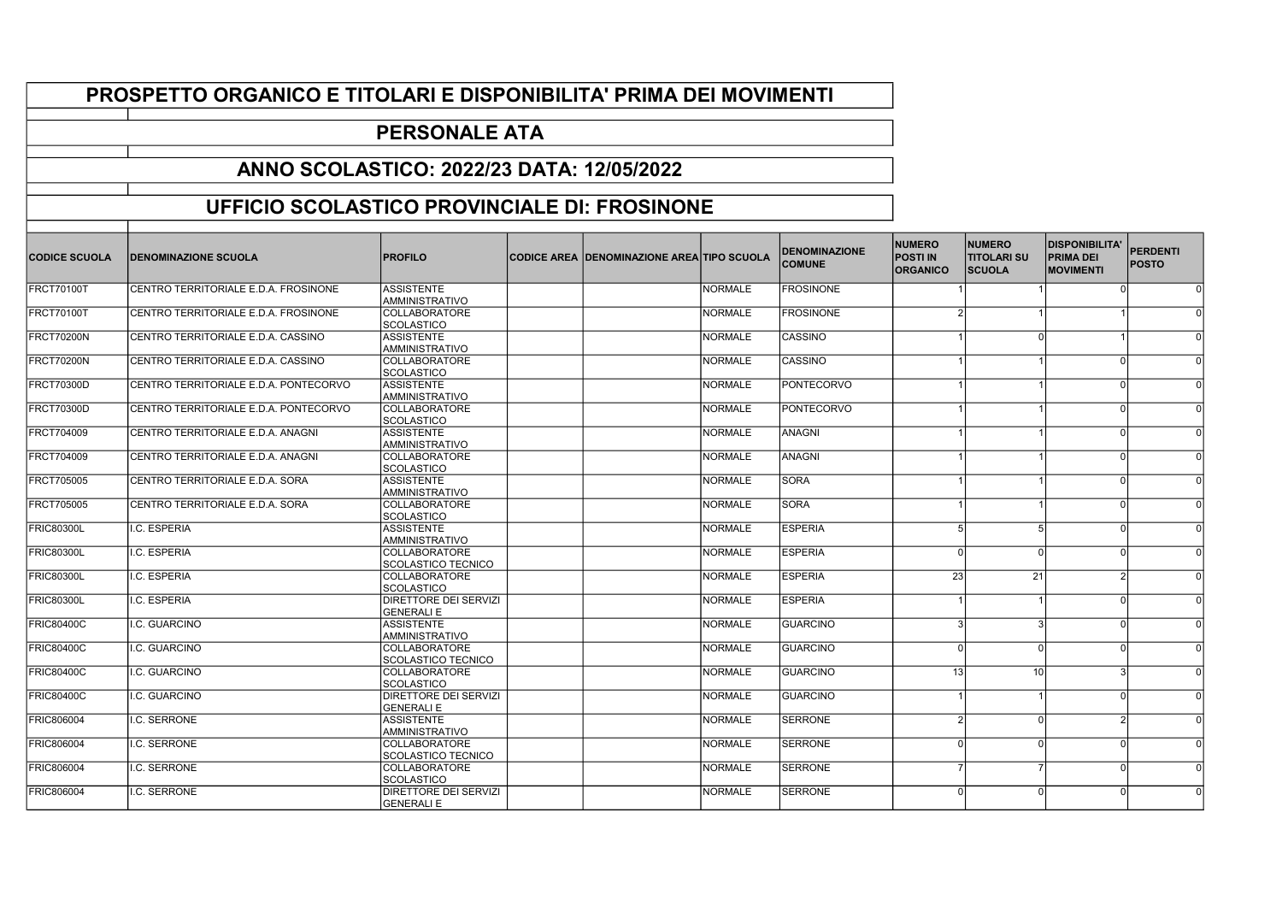## PROSPETTO ORGANICO E TITOLARI E DISPONIBILITA' PRIMA DEI MOVIMENTI

## PERSONALE ATA

## ANNO SCOLASTICO: 2022/23 DATA: 12/05/2022

## UFFICIO SCOLASTICO PROVINCIALE DI: FROSINONE

| <b>CODICE SCUOLA</b> | <b>IDENOMINAZIONE SCUOLA</b>          | <b>PROFILO</b>                             | <b>CODICE AREA DENOMINAZIONE AREA TIPO SCUOLA</b> |                | <b>DENOMINAZIONE</b><br><b>COMUNE</b> | <b>NUMERO</b><br><b>POSTI IN</b><br><b>ORGANICO</b> | <b>NUMERO</b><br><b>TITOLARI SU</b><br><b>SCUOLA</b> | <b>DISPONIBILITA'</b><br><b>PRIMA DEI</b><br><b>MOVIMENTI</b> | <b>PERDENTI</b><br><b>POSTO</b> |
|----------------------|---------------------------------------|--------------------------------------------|---------------------------------------------------|----------------|---------------------------------------|-----------------------------------------------------|------------------------------------------------------|---------------------------------------------------------------|---------------------------------|
| FRCT70100T           | CENTRO TERRITORIALE E.D.A. FROSINONE  | <b>ASSISTENTE</b><br>AMMINISTRATIVO        |                                                   | <b>NORMALE</b> | <b>FROSINONE</b>                      |                                                     |                                                      |                                                               | $\Omega$                        |
| FRCT70100T           | CENTRO TERRITORIALE E.D.A. FROSINONE  | <b>COLLABORATORE</b><br><b>SCOLASTICO</b>  |                                                   | <b>NORMALE</b> | <b>FROSINONE</b>                      |                                                     |                                                      |                                                               |                                 |
| FRCT70200N           | CENTRO TERRITORIALE E.D.A. CASSINO    | <b>ASSISTENTE</b><br>AMMINISTRATIVO        |                                                   | <b>NORMALE</b> | <b>CASSINO</b>                        |                                                     |                                                      |                                                               |                                 |
| <b>FRCT70200N</b>    | CENTRO TERRITORIALE E.D.A. CASSINO    | <b>COLLABORATORE</b><br><b>SCOLASTICO</b>  |                                                   | <b>NORMALE</b> | CASSINO                               |                                                     |                                                      | 0I                                                            | $\Omega$                        |
| <b>FRCT70300D</b>    | CENTRO TERRITORIALE E.D.A. PONTECORVO | <b>ASSISTENTE</b><br><b>AMMINISTRATIVO</b> |                                                   | <b>NORMALE</b> | <b>PONTECORVO</b>                     |                                                     |                                                      | n                                                             | $\Omega$                        |
| <b>FRCT70300D</b>    | CENTRO TERRITORIALE E.D.A. PONTECORVO | <b>COLLABORATORE</b><br>SCOLASTICO         |                                                   | <b>NORMALE</b> | <b>PONTECORVO</b>                     |                                                     |                                                      | ΩI                                                            | $\Omega$                        |
| <b>FRCT704009</b>    | CENTRO TERRITORIALE E.D.A. ANAGNI     | <b>ASSISTENTE</b><br>AMMINISTRATIVO        |                                                   | <b>NORMALE</b> | <b>ANAGNI</b>                         |                                                     |                                                      | $\Omega$                                                      |                                 |
| <b>FRCT704009</b>    | CENTRO TERRITORIALE E.D.A. ANAGNI     | <b>COLLABORATORE</b><br><b>SCOLASTICO</b>  |                                                   | <b>NORMALE</b> | <b>ANAGNI</b>                         |                                                     |                                                      | $\cap$                                                        | $\Omega$                        |
| <b>FRCT705005</b>    | CENTRO TERRITORIALE E.D.A. SORA       | <b>ASSISTENTE</b><br><b>AMMINISTRATIVO</b> |                                                   | <b>NORMALE</b> | <b>SORA</b>                           |                                                     |                                                      | ΩI                                                            |                                 |
| <b>FRCT705005</b>    | CENTRO TERRITORIALE E.D.A. SORA       | <b>COLLABORATORE</b><br><b>SCOLASTICO</b>  |                                                   | <b>NORMALE</b> | <b>SORA</b>                           |                                                     |                                                      | $\cap$                                                        |                                 |
| <b>FRIC80300L</b>    | I.C. ESPERIA                          | <b>ASSISTENTE</b><br>AMMINISTRATIVO        |                                                   | <b>NORMALE</b> | <b>ESPERIA</b>                        |                                                     |                                                      |                                                               |                                 |
| <b>FRIC80300L</b>    | I.C. ESPERIA                          | <b>COLLABORATORE</b><br>SCOLASTICO TECNICO |                                                   | <b>NORMALE</b> | <b>ESPERIA</b>                        |                                                     |                                                      |                                                               |                                 |
| <b>FRIC80300L</b>    | I.C. ESPERIA                          | <b>COLLABORATORE</b><br><b>SCOLASTICO</b>  |                                                   | <b>NORMALE</b> | <b>ESPERIA</b>                        | 23                                                  | 21                                                   |                                                               | $\Omega$                        |
| <b>FRIC80300L</b>    | I.C. ESPERIA                          | DIRETTORE DEI SERVIZI<br><b>GENERALI E</b> |                                                   | <b>NORMALE</b> | <b>ESPERIA</b>                        |                                                     |                                                      | ΩI                                                            | $\Omega$                        |
| FRIC80400C           | I.C. GUARCINO                         | <b>ASSISTENTE</b><br><b>AMMINISTRATIVO</b> |                                                   | <b>NORMALE</b> | <b>GUARCINO</b>                       |                                                     | ર                                                    | $\Omega$                                                      |                                 |
| <b>FRIC80400C</b>    | I.C. GUARCINO                         | COLLABORATORE<br><b>SCOLASTICO TECNICO</b> |                                                   | <b>NORMALE</b> | <b>GUARCINO</b>                       |                                                     |                                                      |                                                               |                                 |
| <b>FRIC80400C</b>    | I.C. GUARCINO                         | <b>COLLABORATORE</b><br><b>SCOLASTICO</b>  |                                                   | <b>NORMALE</b> | <b>GUARCINO</b>                       | 13                                                  | 10                                                   |                                                               |                                 |
| <b>FRIC80400C</b>    | I.C. GUARCINO                         | DIRETTORE DEI SERVIZI<br><b>GENERALI E</b> |                                                   | <b>NORMALE</b> | <b>GUARCINO</b>                       |                                                     |                                                      | nl                                                            |                                 |
| <b>FRIC806004</b>    | I.C. SERRONE                          | <b>ASSISTENTE</b><br><b>AMMINISTRATIVO</b> |                                                   | <b>NORMALE</b> | <b>SERRONE</b>                        |                                                     |                                                      |                                                               |                                 |
| <b>FRIC806004</b>    | I.C. SERRONE                          | <b>COLLABORATORE</b><br>SCOLASTICO TECNICO |                                                   | <b>NORMALE</b> | <b>SERRONE</b>                        |                                                     |                                                      |                                                               |                                 |
| <b>FRIC806004</b>    | I.C. SERRONE                          | <b>COLLABORATORE</b><br><b>SCOLASTICO</b>  |                                                   | <b>NORMALE</b> | <b>SERRONE</b>                        |                                                     |                                                      |                                                               |                                 |
| <b>FRIC806004</b>    | I.C. SERRONE                          | DIRETTORE DEI SERVIZI<br><b>GENERALI E</b> |                                                   | <b>NORMALE</b> | <b>SERRONE</b>                        |                                                     |                                                      |                                                               |                                 |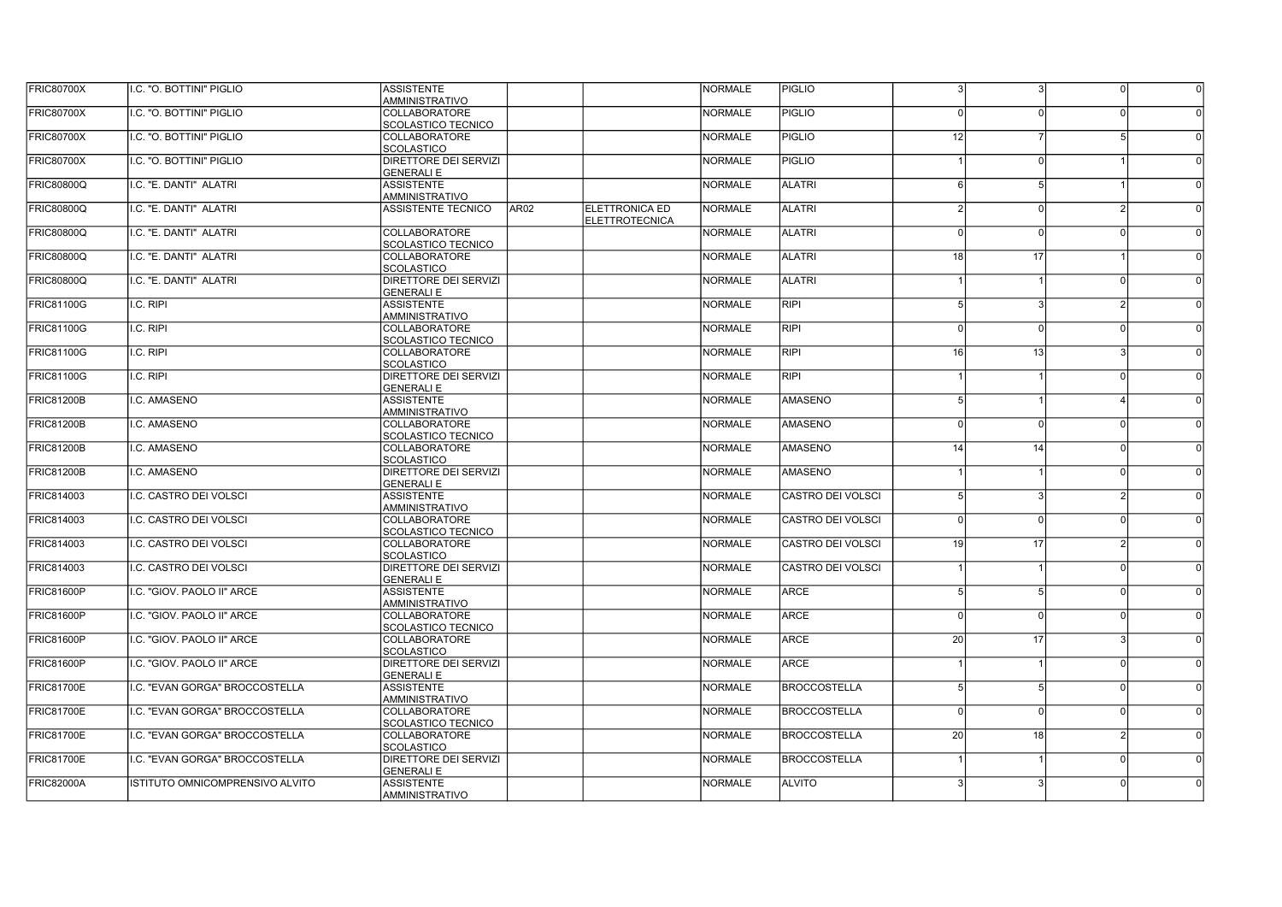| <b>FRIC80700X</b> | I.C. "O. BOTTINI" PIGLIO        | <b>ASSISTENTE</b><br><b>AMMINISTRATIVO</b>         |                  |                       | <b>NORMALE</b> | <b>PIGLIO</b>            | 3               | 3        | $\Omega$      | $\Omega$ |
|-------------------|---------------------------------|----------------------------------------------------|------------------|-----------------------|----------------|--------------------------|-----------------|----------|---------------|----------|
| <b>FRIC80700X</b> | I.C. "O. BOTTINI" PIGLIO        | <b>COLLABORATORE</b><br>SCOLASTICO TECNICO         |                  |                       | <b>NORMALE</b> | <b>PIGLIO</b>            |                 |          |               |          |
| <b>FRIC80700X</b> | I.C. "O. BOTTINI" PIGLIO        | COLLABORATORE                                      |                  |                       | <b>NORMALE</b> | <b>PIGLIO</b>            | 12              |          | 5             |          |
| <b>FRIC80700X</b> | I.C. "O. BOTTINI" PIGLIO        | SCOLASTICO<br><b>DIRETTORE DEI SERVIZI</b>         |                  |                       | <b>NORMALE</b> | <b>PIGLIO</b>            |                 |          |               |          |
| <b>FRIC80800Q</b> | I.C. "E. DANTI" ALATRI          | <b>GENERALIE</b><br><b>ASSISTENTE</b>              |                  |                       | <b>NORMALE</b> | <b>ALATRI</b>            | 6               | 5        |               |          |
| <b>FRIC80800Q</b> | I.C. "E. DANTI" ALATRI          | <b>AMMINISTRATIVO</b><br><b>ASSISTENTE TECNICO</b> | AR <sub>02</sub> | <b>ELETTRONICA ED</b> | <b>NORMALE</b> | <b>ALATRI</b>            |                 | $\Omega$ |               |          |
|                   | I.C. "E. DANTI" ALATRI          | <b>COLLABORATORE</b>                               |                  | <b>ELETTROTECNICA</b> | <b>NORMALE</b> | <b>ALATRI</b>            |                 | $\Omega$ | $\Omega$      |          |
| <b>FRIC80800Q</b> |                                 | SCOLASTICO TECNICO                                 |                  |                       |                |                          |                 |          |               |          |
| <b>FRIC80800Q</b> | I.C. "E. DANTI" ALATRI          | <b>COLLABORATORE</b><br><b>SCOLASTICO</b>          |                  |                       | <b>NORMALE</b> | <b>ALATRI</b>            | 18 <sup>1</sup> | 17       |               |          |
| <b>FRIC80800Q</b> | I.C. "E. DANTI" ALATRI          | <b>DIRETTORE DEI SERVIZI</b><br><b>GENERALI E</b>  |                  |                       | <b>NORMALE</b> | <b>ALATRI</b>            |                 |          | $\Omega$      |          |
| FRIC81100G        | I.C. RIPI                       | <b>ASSISTENTE</b>                                  |                  |                       | <b>NORMALE</b> | <b>RIPI</b>              | 51              | 3        | $\mathcal{D}$ |          |
| <b>FRIC81100G</b> | I.C. RIPI                       | <b>AMMINISTRATIVO</b><br>COLLABORATORE             |                  |                       | <b>NORMALE</b> | <b>RIPI</b>              | $\Omega$        | $\Omega$ | - N           |          |
| <b>FRIC81100G</b> | I.C. RIPI                       | <b>SCOLASTICO TECNICO</b><br>COLLABORATORE         |                  |                       | <b>NORMALE</b> | RIPI                     | 16 <sup>1</sup> | 13       | ঽ             |          |
|                   |                                 | SCOLASTICO                                         |                  |                       |                |                          |                 |          |               |          |
| <b>FRIC81100G</b> | I.C. RIPI                       | <b>DIRETTORE DEI SERVIZI</b><br><b>GENERALIE</b>   |                  |                       | <b>NORMALE</b> | <b>RIPI</b>              |                 |          | $\Omega$      |          |
| <b>FRIC81200B</b> | .C. AMASENO                     | <b>ASSISTENTE</b><br><b>AMMINISTRATIVO</b>         |                  |                       | <b>NORMALE</b> | <b>AMASENO</b>           | 5 <sup>1</sup>  |          | $\vert$ 4     |          |
| <b>FRIC81200B</b> | .C. AMASENO                     | <b>COLLABORATORE</b><br>Iscolastico tecnico        |                  |                       | <b>NORMALE</b> | <b>AMASENO</b>           | $\Omega$        | $\Omega$ | $\Omega$      |          |
| FRIC81200B        | .C. AMASENO                     | <b>COLLABORATORE</b><br><b>SCOLASTICO</b>          |                  |                       | <b>NORMALE</b> | <b>AMASENO</b>           | 14              | 14       | n             |          |
| FRIC81200B        | I.C. AMASENO                    | <b>DIRETTORE DEI SERVIZI</b><br><b>GENERALI E</b>  |                  |                       | <b>NORMALE</b> | <b>AMASENO</b>           |                 |          | $\Omega$      |          |
| FRIC814003        | I.C. CASTRO DEI VOLSCI          | <b>ASSISTENTE</b><br><b>AMMINISTRATIVO</b>         |                  |                       | <b>NORMALE</b> | <b>CASTRO DEI VOLSCI</b> |                 | 3        | ົ             |          |
| FRIC814003        | LC. CASTRO DEI VOLSCI           | <i><b>COLLABORATORE</b></i><br>ISCOLASTICO TECNICO |                  |                       | <b>NORMALE</b> | CASTRO DEI VOLSCI        | $\Omega$        | $\Omega$ | $\Omega$      |          |
| FRIC814003        | LC. CASTRO DEI VOLSCI           | <i><b>COLLABORATORE</b></i><br><b>SCOLASTICO</b>   |                  |                       | <b>NORMALE</b> | <b>CASTRO DEI VOLSCI</b> | 19 <sup>1</sup> | 17       | $\mathcal{P}$ |          |
| FRIC814003        | LC. CASTRO DEI VOLSCI           | <b>IDIRETTORE DEI SERVIZI</b><br><b>GENERALI E</b> |                  |                       | <b>NORMALE</b> | <b>CASTRO DEI VOLSCI</b> |                 |          | n l           |          |
| FRIC81600P        | I.C. "GIOV. PAOLO II" ARCE      | <b>ASSISTENTE</b><br><b>AMMINISTRATIVO</b>         |                  |                       | <b>NORMALE</b> | <b>ARCE</b>              |                 | 5        | $\Omega$      |          |
| <b>FRIC81600P</b> | I.C. "GIOV. PAOLO II" ARCE      | <b>COLLABORATORE</b><br>Iscolastico tecnico        |                  |                       | <b>NORMALE</b> | <b>ARCE</b>              | $\Omega$        | $\Omega$ | $\Omega$      |          |
| <b>FRIC81600P</b> | I.C. "GIOV. PAOLO II" ARCE      | <b>COLLABORATORE</b><br>Iscolastico                |                  |                       | <b>NORMALE</b> | <b>ARCE</b>              | 20              | 17       | 3             |          |
| <b>FRIC81600P</b> | I.C. "GIOV. PAOLO II" ARCE      | <b>DIRETTORE DEI SERVIZI</b><br>İGENERALI E        |                  |                       | <b>NORMALE</b> | <b>ARCE</b>              |                 |          | $\Omega$      |          |
| FRIC81700E        | I.C. "EVAN GORGA" BROCCOSTELLA  | <b>ASSISTENTE</b>                                  |                  |                       | <b>NORMALE</b> | <b>BROCCOSTELLA</b>      | 5               | 5        | 0l            |          |
| <b>FRIC81700E</b> | I.C. "EVAN GORGA" BROCCOSTELLA  | <b>AMMINISTRATIVO</b><br>COLLABORATORE             |                  |                       | <b>NORMALE</b> | <b>BROCCOSTELLA</b>      |                 | $\Omega$ | $\Omega$      |          |
| <b>FRIC81700E</b> | I.C. "EVAN GORGA" BROCCOSTELLA  | Iscolastico tecnico<br><b>COLLABORATORE</b>        |                  |                       | <b>NORMALE</b> | <b>BROCCOSTELLA</b>      | 20              | 18       | $\mathcal{D}$ | $\Omega$ |
| <b>FRIC81700E</b> | I.C. "EVAN GORGA" BROCCOSTELLA  | Iscolastico<br><b>DIRETTORE DEI SERVIZI</b>        |                  |                       | <b>NORMALE</b> | <b>BROCCOSTELLA</b>      |                 |          | $\Omega$      |          |
| <b>FRIC82000A</b> | ISTITUTO OMNICOMPRENSIVO ALVITO | <b>GENERALIE</b><br><b>ASSISTENTE</b>              |                  |                       | <b>NORMALE</b> | <b>ALVITO</b>            |                 |          |               |          |
|                   |                                 | <b>AMMINISTRATIVO</b>                              |                  |                       |                |                          |                 |          |               |          |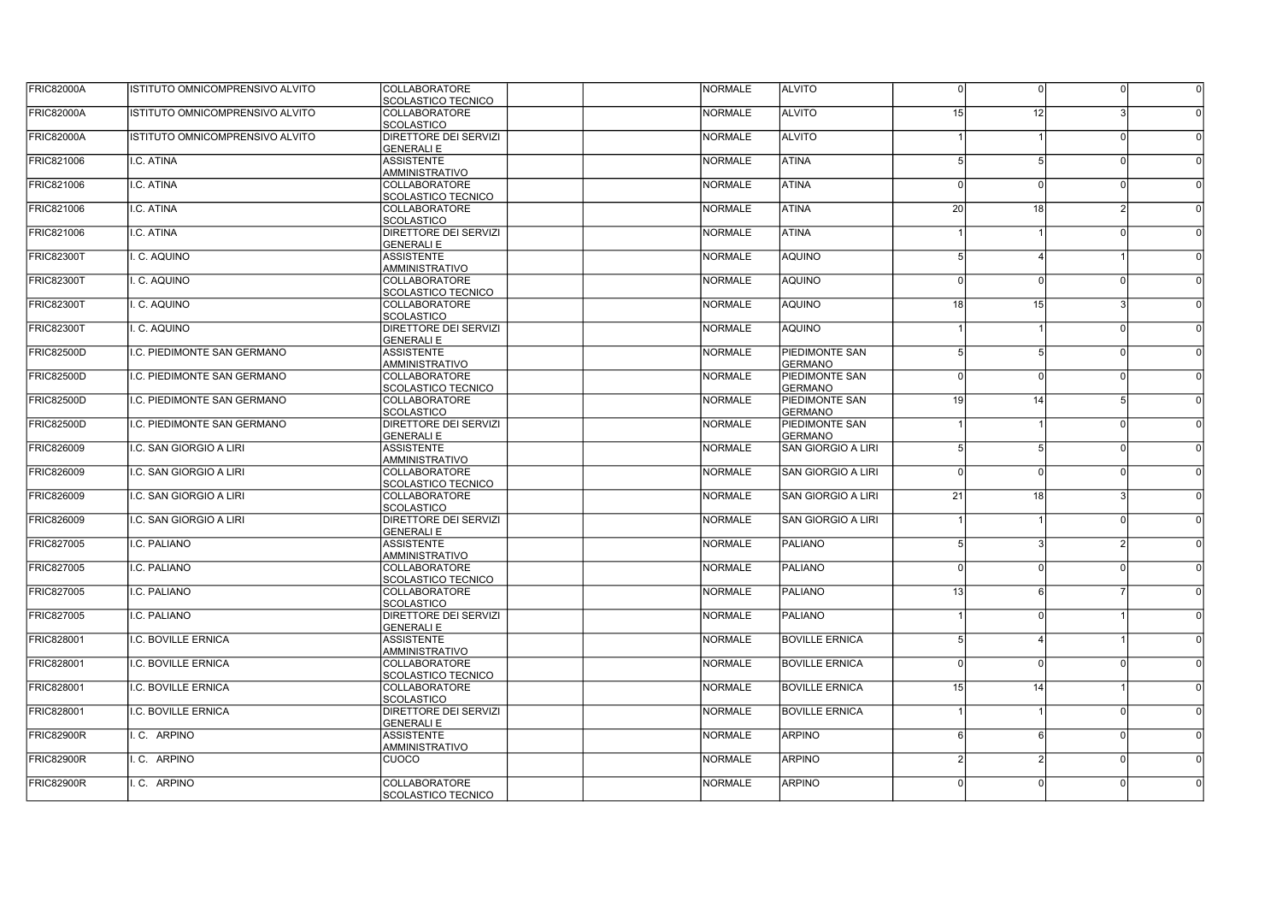| <b>FRIC82000A</b> | ISTITUTO OMNICOMPRENSIVO ALVITO | COLLABORATORE                                     | NORMALE        | <b>ALVITO</b>                    | $\Omega$       | $\Omega$       | 0             | $\overline{0}$ |
|-------------------|---------------------------------|---------------------------------------------------|----------------|----------------------------------|----------------|----------------|---------------|----------------|
|                   |                                 | SCOLASTICO TECNICO                                |                |                                  |                |                |               |                |
| <b>FRIC82000A</b> | ISTITUTO OMNICOMPRENSIVO ALVITO | COLLABORATORE<br><b>SCOLASTICO</b>                | <b>NORMALE</b> | <b>ALVITO</b>                    | 15             | 12             |               |                |
| <b>FRIC82000A</b> | ISTITUTO OMNICOMPRENSIVO ALVITO | DIRETTORE DEI SERVIZI<br><b>GENERALI E</b>        | <b>NORMALE</b> | <b>ALVITO</b>                    |                |                | $\Omega$      |                |
| FRIC821006        | I.C. ATINA                      | <b>ASSISTENTE</b><br>AMMINISTRATIVO               | <b>NORMALE</b> | <b>ATINA</b>                     |                | 5              | $\Omega$      |                |
| FRIC821006        | I.C. ATINA                      | COLLABORATORE<br><b>SCOLASTICO TECNICO</b>        | <b>NORMALE</b> | <b>ATINA</b>                     |                | $\Omega$       | $\Omega$      |                |
| FRIC821006        | I.C. ATINA                      | COLLABORATORE<br><b>SCOLASTICO</b>                | <b>NORMALE</b> | <b>ATINA</b>                     | 20             | 18             | $\mathcal{D}$ |                |
| FRIC821006        | I.C. ATINA                      | DIRETTORE DEI SERVIZI<br><b>GENERALI E</b>        | <b>NORMALE</b> | <b>ATINA</b>                     |                |                | $\Omega$      |                |
| <b>FRIC82300T</b> | I. C. AQUINO                    | <b>ASSISTENTE</b><br><b>AMMINISTRATIVO</b>        | <b>NORMALE</b> | <b>AQUINO</b>                    |                |                |               |                |
| <b>FRIC82300T</b> | I. C. AQUINO                    | COLLABORATORE<br><b>SCOLASTICO TECNICO</b>        | <b>NORMALE</b> | <b>AQUINO</b>                    |                | $\Omega$       | - N           |                |
| <b>FRIC82300T</b> | I. C. AQUINO                    | COLLABORATORE<br>SCOLASTICO                       | <b>NORMALE</b> | <b>AQUINO</b>                    | 18             | 15             | વ             |                |
| <b>FRIC82300T</b> | I. C. AQUINO                    | DIRETTORE DEI SERVIZI<br><b>GENERALI E</b>        | <b>NORMALE</b> | <b>AQUINO</b>                    |                |                | - N           |                |
| <b>FRIC82500D</b> | I.C. PIEDIMONTE SAN GERMANO     | <b>ASSISTENTE</b><br><b>AMMINISTRATIVO</b>        | <b>NORMALE</b> | PIEDIMONTE SAN<br><b>GERMANO</b> | 5              | 5 <sup>1</sup> | nl            |                |
| <b>FRIC82500D</b> | II.C. PIEDIMONTE SAN GERMANO    | COLLABORATORE<br>SCOLASTICO TECNICO               | <b>NORMALE</b> | PIEDIMONTE SAN<br><b>GERMANO</b> | $\Omega$       | $\Omega$       | $\Omega$      |                |
| <b>FRIC82500D</b> | I.C. PIEDIMONTE SAN GERMANO     | COLLABORATORE<br>SCOLASTICO                       | <b>NORMALE</b> | PIEDIMONTE SAN<br><b>GERMANO</b> | 19             | 14             | -51           |                |
| <b>FRIC82500D</b> | I.C. PIEDIMONTE SAN GERMANO     | DIRETTORE DEI SERVIZI<br><b>GENERALI E</b>        | <b>NORMALE</b> | PIEDIMONTE SAN<br><b>GERMANO</b> |                |                | nl            |                |
| <b>FRIC826009</b> | I.C. SAN GIORGIO A LIRI         | <b>ASSISTENTE</b><br><b>AMMINISTRATIVO</b>        | <b>NORMALE</b> | <b>SAN GIORGIO A LIRI</b>        |                | .5             | nl            |                |
| FRIC826009        | I.C. SAN GIORGIO A LIRI         | COLLABORATORE<br>SCOLASTICO TECNICO               | <b>NORMALE</b> | <b>SAN GIORGIO A LIRI</b>        | $\Omega$       | $\Omega$       | n             |                |
| <b>FRIC826009</b> | I.C. SAN GIORGIO A LIRI         | <b>COLLABORATORE</b><br><b>SCOLASTICO</b>         | <b>NORMALE</b> | <b>SAN GIORGIO A LIRI</b>        | 21             | 18             | ર             |                |
| <b>FRIC826009</b> | II.C. SAN GIORGIO A LIRI        | DIRETTORE DEI SERVIZI<br><b>GENERALI E</b>        | <b>NORMALE</b> | <b>SAN GIORGIO A LIRI</b>        |                |                | $\Omega$      |                |
| <b>FRIC827005</b> | I.C. PALIANO                    | <b>ASSISTENTE</b><br><b>AMMINISTRATIVO</b>        | <b>NORMALE</b> | <b>PALIANO</b>                   |                | з              | 21            |                |
| <b>FRIC827005</b> | II.C. PALIANO                   | COLLABORATORE<br>SCOLASTICO TECNICO               | <b>NORMALE</b> | <b>PALIANO</b>                   | $\Omega$       | $\Omega$       | - N           |                |
| FRIC827005        | I.C. PALIANO                    | <b>COLLABORATORE</b><br><b>SCOLASTICO</b>         | <b>NORMALE</b> | <b>PALIANO</b>                   | 13             | 6              |               |                |
| FRIC827005        | I.C. PALIANO                    | DIRETTORE DEI SERVIZI<br><b>GENERALI E</b>        | <b>NORMALE</b> | <b>PALIANO</b>                   |                | $\Omega$       |               |                |
| FRIC828001        | I.C. BOVILLE ERNICA             | <b>ASSISTENTE</b><br><b>AMMINISTRATIVO</b>        | <b>NORMALE</b> | <b>BOVILLE ERNICA</b>            | $\overline{5}$ | $\Delta$       |               | $\Omega$       |
| FRIC828001        | I.C. BOVILLE ERNICA             | <b>COLLABORATORE</b><br><b>SCOLASTICO TECNICO</b> | <b>NORMALE</b> | <b>BOVILLE ERNICA</b>            | $\Omega$       | $\Omega$       | 0l            |                |
| FRIC828001        | I.C. BOVILLE ERNICA             | COLLABORATORE<br><b>SCOLASTICO</b>                | <b>NORMALE</b> | <b>BOVILLE ERNICA</b>            | 15             | 14             |               |                |
| <b>FRIC828001</b> | I.C. BOVILLE ERNICA             | DIRETTORE DEI SERVIZI<br><b>GENERALI E</b>        | <b>NORMALE</b> | <b>BOVILLE ERNICA</b>            |                |                | $\Omega$      |                |
| <b>FRIC82900R</b> | I.C. ARPINO                     | <b>ASSISTENTE</b><br><b>AMMINISTRATIVO</b>        | <b>NORMALE</b> | <b>ARPINO</b>                    | 6              | 6              | 0l            | $\Omega$       |
| <b>FRIC82900R</b> | I.C. ARPINO                     | <b>CUOCO</b>                                      | <b>NORMALE</b> | <b>ARPINO</b>                    |                | 2              | $\Omega$      |                |
| <b>FRIC82900R</b> | .C. ARPINO                      | <b>COLLABORATORE</b><br><b>SCOLASTICO TECNICO</b> | <b>NORMALE</b> | <b>ARPINO</b>                    |                | $\Omega$       | 0I            |                |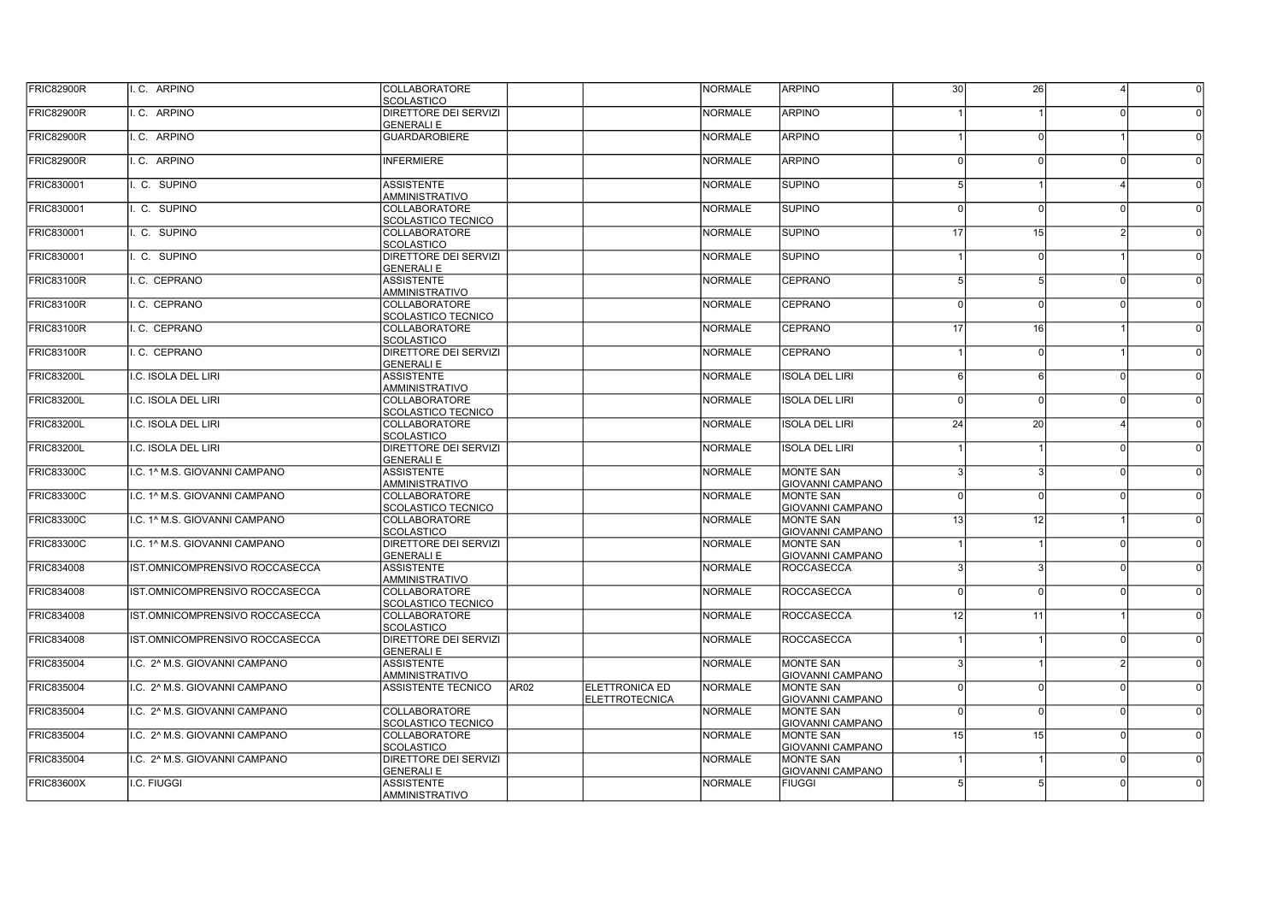| FRIC82900R        | I.C. ARPINO                    | COLLABORATORE<br><b>SCOLASTICO</b>                |                  |                                                | <b>NORMALE</b> | <b>ARPINO</b>                               | 30       | 26              |                |  |
|-------------------|--------------------------------|---------------------------------------------------|------------------|------------------------------------------------|----------------|---------------------------------------------|----------|-----------------|----------------|--|
| <b>FRIC82900R</b> | I.C. ARPINO                    | DIRETTORE DEI SERVIZI<br><b>GENERALI E</b>        |                  |                                                | <b>NORMALE</b> | <b>ARPINO</b>                               |          |                 |                |  |
| FRIC82900R        | I.C. ARPINO                    | <b>GUARDAROBIERE</b>                              |                  |                                                | <b>NORMALE</b> | <b>ARPINO</b>                               |          |                 |                |  |
| FRIC82900R        | I.C. ARPINO                    | <b>INFERMIERE</b>                                 |                  |                                                | <b>NORMALE</b> | <b>ARPINO</b>                               | $\Omega$ | $\Omega$        | $\Omega$       |  |
| <b>FRIC830001</b> | I. C. SUPINO                   | <b>ASSISTENTE</b><br><b>AMMINISTRATIVO</b>        |                  |                                                | <b>NORMALE</b> | <b>SUPINO</b>                               |          |                 |                |  |
| <b>FRIC830001</b> | I. C. SUPINO                   | COLLABORATORE<br>SCOLASTICO TECNICO               |                  |                                                | <b>NORMALE</b> | <b>SUPINO</b>                               | $\Omega$ | $\Omega$        | 0              |  |
| <b>FRIC830001</b> | I. C. SUPINO                   | <b>COLLABORATORE</b><br><b>SCOLASTICO</b>         |                  |                                                | <b>NORMALE</b> | <b>SUPINO</b>                               | 17       | 15              | <sup>2</sup>   |  |
| <b>FRIC830001</b> | I. C. SUPINO                   | DIRETTORE DEI SERVIZI<br><b>GENERALI E</b>        |                  |                                                | <b>NORMALE</b> | <b>SUPINO</b>                               |          | $\Omega$        |                |  |
| <b>FRIC83100R</b> | I.C. CEPRANO                   | <b>ASSISTENTE</b><br><b>AMMINISTRATIVO</b>        |                  |                                                | <b>NORMALE</b> | <b>CEPRANO</b>                              |          |                 | 0              |  |
| FRIC83100R        | I. C. CEPRANO                  | <b>COLLABORATORE</b><br><b>SCOLASTICO TECNICO</b> |                  |                                                | <b>NORMALE</b> | <b>CEPRANO</b>                              | $\Omega$ | $\Omega$        | <sup>0</sup>   |  |
| <b>FRIC83100R</b> | I.C. CEPRANO                   | <b>COLLABORATORE</b><br><b>SCOLASTICO</b>         |                  |                                                | <b>NORMALE</b> | <b>CEPRANO</b>                              | 17       | 16 <sup>1</sup> |                |  |
| FRIC83100R        | I.C. CEPRANO                   | DIRETTORE DEI SERVIZI<br><b>GENERALI E</b>        |                  |                                                | <b>NORMALE</b> | <b>CEPRANO</b>                              |          | $\Omega$        |                |  |
| <b>FRIC83200L</b> | ILC. ISOLA DEL LIRI            | <b>ASSISTENTE</b><br><b>AMMINISTRATIVO</b>        |                  |                                                | <b>NORMALE</b> | <b>ISOLA DEL LIRI</b>                       | ĥ        | ĥ               | 0I             |  |
| <b>FRIC83200L</b> | I.C. ISOLA DEL LIRI            | COLLABORATORE<br><b>SCOLASTICO TECNICO</b>        |                  |                                                | <b>NORMALE</b> | <b>ISOLA DEL LIRI</b>                       | $\Omega$ | n               | - N            |  |
| <b>FRIC83200L</b> | I.C. ISOLA DEL LIRI            | COLLABORATORE<br><b>SCOLASTICO</b>                |                  |                                                | <b>NORMALE</b> | <b>ISOLA DEL LIRI</b>                       | 24       | 20 <sup>1</sup> |                |  |
| <b>FRIC83200L</b> | I.C. ISOLA DEL LIRI            | DIRETTORE DEI SERVIZI<br><b>GENERALI E</b>        |                  |                                                | <b>NORMALE</b> | <b>ISOLA DEL LIRI</b>                       |          |                 | - N            |  |
| <b>FRIC83300C</b> | ILC. 1^ M.S. GIOVANNI CAMPANO  | <b>ASSISTENTE</b><br><b>AMMINISTRATIVO</b>        |                  |                                                | <b>NORMALE</b> | <b>MONTE SAN</b><br><b>GIOVANNI CAMPANO</b> |          |                 | 0I             |  |
| <b>FRIC83300C</b> | I.C. 1^ M.S. GIOVANNI CAMPANO  | <b>COLLABORATORE</b><br><b>SCOLASTICO TECNICO</b> |                  |                                                | <b>NORMALE</b> | <b>MONTE SAN</b><br><b>GIOVANNI CAMPANO</b> | $\Omega$ | $\Omega$        | $\Omega$       |  |
| <b>FRIC83300C</b> | I.C. 1^ M.S. GIOVANNI CAMPANO  | <b>COLLABORATORE</b><br><b>SCOLASTICO</b>         |                  |                                                | <b>NORMALE</b> | <b>MONTE SAN</b><br><b>GIOVANNI CAMPANO</b> | 13       | 12              |                |  |
| <b>FRIC83300C</b> | I.C. 1^ M.S. GIOVANNI CAMPANO  | DIRETTORE DEI SERVIZI<br><b>GENERALI E</b>        |                  |                                                | <b>NORMALE</b> | <b>MONTE SAN</b><br><b>GIOVANNI CAMPANO</b> |          |                 | $\Omega$       |  |
| <b>FRIC834008</b> | IST.OMNICOMPRENSIVO ROCCASECCA | <b>ASSISTENTE</b><br><b>AMMINISTRATIVO</b>        |                  |                                                | <b>NORMALE</b> | <b>ROCCASECCA</b>                           |          |                 | 0l             |  |
| <b>FRIC834008</b> | IST.OMNICOMPRENSIVO ROCCASECCA | <b>COLLABORATORE</b><br><b>SCOLASTICO TECNICO</b> |                  |                                                | <b>NORMALE</b> | <b>ROCCASECCA</b>                           | $\Omega$ | $\Omega$        | <sup>0</sup>   |  |
| <b>FRIC834008</b> | IST.OMNICOMPRENSIVO ROCCASECCA | <b>COLLABORATORE</b><br><b>SCOLASTICO</b>         |                  |                                                | <b>NORMALE</b> | <b>ROCCASECCA</b>                           | 12       | 11              |                |  |
| <b>FRIC834008</b> | IST.OMNICOMPRENSIVO ROCCASECCA | DIRETTORE DEI SERVIZI<br><b>GENERALI E</b>        |                  |                                                | <b>NORMALE</b> | <b>ROCCASECCA</b>                           |          |                 | <sup>0</sup>   |  |
| <b>FRIC835004</b> | I.C. 2^ M.S. GIOVANNI CAMPANO  | <b>ASSISTENTE</b><br><b>AMMINISTRATIVO</b>        |                  |                                                | <b>NORMALE</b> | <b>MONTE SAN</b><br><b>GIOVANNI CAMPANO</b> |          |                 | $\overline{2}$ |  |
| <b>FRIC835004</b> | I.C. 2^ M.S. GIOVANNI CAMPANO  | ASSISTENTE TECNICO                                | AR <sub>02</sub> | <b>ELETTRONICA ED</b><br><b>ELETTROTECNICA</b> | <b>NORMALE</b> | <b>MONTE SAN</b><br><b>GIOVANNI CAMPANO</b> | $\Omega$ |                 | 0I             |  |
| <b>FRIC835004</b> | I.C. 2^ M.S. GIOVANNI CAMPANO  | <b>COLLABORATORE</b><br><b>SCOLASTICO TECNICO</b> |                  |                                                | <b>NORMALE</b> | <b>MONTE SAN</b><br><b>GIOVANNI CAMPANO</b> | $\Omega$ |                 | $\Omega$       |  |
| <b>FRIC835004</b> | I.C. 2^ M.S. GIOVANNI CAMPANO  | <b>COLLABORATORE</b><br><b>SCOLASTICO</b>         |                  |                                                | <b>NORMALE</b> | <b>MONTE SAN</b><br><b>GIOVANNI CAMPANO</b> | 15       | 15 <sup>1</sup> | <sup>0</sup>   |  |
| <b>FRIC835004</b> | I.C. 2^ M.S. GIOVANNI CAMPANO  | <b>DIRETTORE DEI SERVIZI</b><br><b>GENERALI E</b> |                  |                                                | <b>NORMALE</b> | <b>MONTE SAN</b><br><b>GIOVANNI CAMPANO</b> |          |                 | $\Omega$       |  |
| <b>FRIC83600X</b> | I.C. FIUGGI                    | <b>ASSISTENTE</b><br>AMMINISTRATIVO               |                  |                                                | <b>NORMALE</b> | <b>FIUGGI</b>                               |          |                 | ΩI             |  |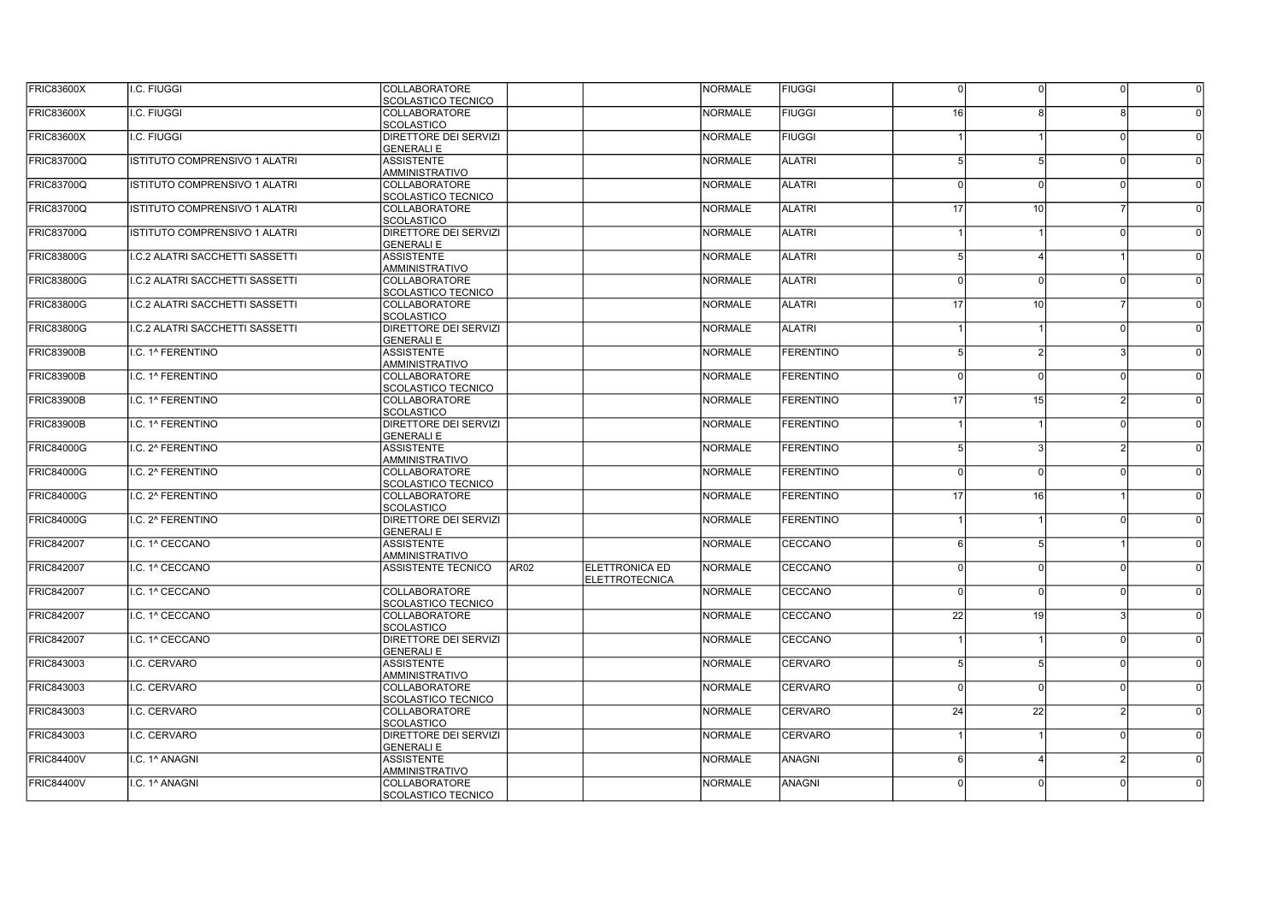| <b>FRIC83600X</b> | I.C. FIUGGI                           | <b>COLLABORATORE</b><br>SCOLASTICO TECNICO |                  |                       | <b>NORMALE</b> | <b>FIUGGI</b>    | $\Omega$        |                 | $\Omega$       |          |
|-------------------|---------------------------------------|--------------------------------------------|------------------|-----------------------|----------------|------------------|-----------------|-----------------|----------------|----------|
| <b>FRIC83600X</b> | <b>.C. FIUGGI</b>                     | <b>COLLABORATORE</b>                       |                  |                       | <b>NORMALE</b> | <b>FIUGGI</b>    | 16              |                 |                |          |
|                   |                                       | <b>SCOLASTICO</b>                          |                  |                       |                |                  |                 |                 |                |          |
| <b>FRIC83600X</b> | I.C. FIUGGI                           | DIRETTORE DEI SERVIZI                      |                  |                       | <b>NORMALE</b> | <b>FIUGGI</b>    |                 |                 | $\Omega$       |          |
|                   |                                       | <b>GENERALI E</b>                          |                  |                       |                |                  |                 |                 |                |          |
| <b>FRIC83700Q</b> | <b>ISTITUTO COMPRENSIVO 1 ALATRI</b>  | <b>ASSISTENTE</b>                          |                  |                       | <b>NORMALE</b> | <b>ALATRI</b>    |                 |                 | $\Omega$       |          |
|                   |                                       | AMMINISTRATIVO                             |                  |                       |                |                  |                 |                 |                |          |
| <b>FRIC83700Q</b> | ISTITUTO COMPRENSIVO 1 ALATRI         | <b>COLLABORATORE</b>                       |                  |                       | <b>NORMALE</b> | <b>ALATRI</b>    |                 |                 | $\Omega$       |          |
|                   |                                       | <b>SCOLASTICO TECNICO</b>                  |                  |                       |                |                  |                 |                 |                |          |
| <b>FRIC83700Q</b> | ISTITUTO COMPRENSIVO 1 ALATRI         | <b>COLLABORATORE</b>                       |                  |                       | <b>NORMALE</b> | <b>ALATRI</b>    | 17              | 10              |                |          |
|                   |                                       | <b>SCOLASTICO</b>                          |                  |                       |                |                  |                 |                 |                |          |
| <b>FRIC83700Q</b> | ISTITUTO COMPRENSIVO 1 ALATRI         | DIRETTORE DEI SERVIZI                      |                  |                       | <b>NORMALE</b> | <b>ALATRI</b>    |                 |                 | $\Omega$       |          |
|                   |                                       | <b>GENERALI E</b>                          |                  |                       |                |                  |                 |                 |                |          |
| <b>FRIC83800G</b> | <b>.C.2 ALATRI SACCHETTI SASSETTI</b> | <b>ASSISTENTE</b>                          |                  |                       | <b>NORMALE</b> | <b>ALATRI</b>    |                 |                 |                |          |
|                   |                                       | AMMINISTRATIVO                             |                  |                       |                |                  |                 |                 |                |          |
| <b>FRIC83800G</b> | I.C.2 ALATRI SACCHETTI SASSETTI       | COLLABORATORE                              |                  |                       | <b>NORMALE</b> | <b>ALATRI</b>    | $\Omega$        |                 | $\Omega$       |          |
| <b>FRIC83800G</b> |                                       | SCOLASTICO TECNICO                         |                  |                       | <b>NORMALE</b> | <b>ALATRI</b>    | 17              | 10 <sup>1</sup> |                |          |
|                   | I.C.2 ALATRI SACCHETTI SASSETTI       | COLLABORATORE<br><b>SCOLASTICO</b>         |                  |                       |                |                  |                 |                 |                |          |
| <b>FRIC83800G</b> | I.C.2 ALATRI SACCHETTI SASSETTI       | DIRETTORE DEI SERVIZI                      |                  |                       | <b>NORMALE</b> | <b>ALATRI</b>    |                 |                 | $\Omega$       |          |
|                   |                                       | <b>GENERALI E</b>                          |                  |                       |                |                  |                 |                 |                |          |
| <b>FRIC83900B</b> | I.C. 1^ FERENTINO                     | <b>ASSISTENTE</b>                          |                  |                       | <b>NORMALE</b> | <b>FERENTINO</b> |                 | $\mathcal{D}$   | $\mathbf{R}$   |          |
|                   |                                       | AMMINISTRATIVO                             |                  |                       |                |                  |                 |                 |                |          |
| <b>FRIC83900B</b> | I.C. 1^ FERENTINO                     | <b>COLLABORATORE</b>                       |                  |                       | <b>NORMALE</b> | <b>FERENTINO</b> | $\Omega$        | $\Omega$        | n              |          |
|                   |                                       | <b>SCOLASTICO TECNICO</b>                  |                  |                       |                |                  |                 |                 |                |          |
| <b>FRIC83900B</b> | I.C. 1^ FERENTINO                     | COLLABORATORE                              |                  |                       | <b>NORMALE</b> | <b>FERENTINO</b> | 17              | 15              | 21             |          |
|                   |                                       | <b>SCOLASTICO</b>                          |                  |                       |                |                  |                 |                 |                |          |
| <b>FRIC83900B</b> | I.C. 1^ FERENTINO                     | DIRETTORE DEI SERVIZI                      |                  |                       | <b>NORMALE</b> | <b>FERENTINO</b> |                 |                 | $\cap$         |          |
|                   |                                       | <b>GENERALIE</b>                           |                  |                       |                |                  |                 |                 |                |          |
| <b>FRIC84000G</b> | I.C. 2^ FERENTINO                     | <b>ASSISTENTE</b>                          |                  |                       | <b>NORMALE</b> | <b>FERENTINO</b> | 5               | વ               | $\mathcal{P}$  |          |
|                   |                                       | <b>AMMINISTRATIVO</b>                      |                  |                       |                |                  |                 |                 |                |          |
| <b>FRIC84000G</b> | I.C. 2^ FERENTINO                     | <b>COLLABORATORE</b>                       |                  |                       | <b>NORMALE</b> | <b>FERENTINO</b> | $\Omega$        | $\Omega$        | $\cap$         |          |
|                   |                                       | <b>SCOLASTICO TECNICO</b>                  |                  |                       |                |                  |                 |                 |                |          |
| <b>FRIC84000G</b> | I.C. 2^ FERENTINO                     | <b>COLLABORATORE</b>                       |                  |                       | <b>NORMALE</b> | <b>FERENTINO</b> | 17              | 16 <sup>1</sup> |                |          |
|                   |                                       | <b>SCOLASTICO</b>                          |                  |                       |                |                  |                 |                 |                |          |
| <b>FRIC84000G</b> | I.C. 2^ FERENTINO                     | DIRETTORE DEI SERVIZI                      |                  |                       | <b>NORMALE</b> | <b>FERENTINO</b> |                 |                 | n              |          |
|                   |                                       | <b>GENERALI E</b>                          |                  |                       |                |                  |                 |                 |                |          |
| <b>FRIC842007</b> | I.C. 1^ CECCANO                       | <b>ASSISTENTE</b>                          |                  |                       | <b>NORMALE</b> | <b>CECCANO</b>   | 6               | 5               |                |          |
|                   |                                       | <b>AMMINISTRATIVO</b>                      |                  |                       |                |                  |                 |                 |                |          |
| <b>FRIC842007</b> | I.C. 1^ CECCANO                       | <b>ASSISTENTE TECNICO</b>                  | AR <sub>02</sub> | <b>ELETTRONICA ED</b> | <b>NORMALE</b> | CECCANO          | n               | $\Omega$        | $\Omega$       |          |
|                   |                                       |                                            |                  | <b>ELETTROTECNICA</b> |                |                  |                 |                 |                |          |
| <b>FRIC842007</b> | I.C. 1^ CECCANO                       | COLLABORATORE                              |                  |                       | <b>NORMALE</b> | CECCANO          | $\Omega$        | $\Omega$        | $\Omega$       |          |
| <b>FRIC842007</b> | I.C. 1^ CECCANO                       | <b>SCOLASTICO TECNICO</b><br>COLLABORATORE |                  |                       | <b>NORMALE</b> | CECCANO          | 22              | 19              |                |          |
|                   |                                       | <b>SCOLASTICO</b>                          |                  |                       |                |                  |                 |                 |                |          |
| <b>FRIC842007</b> | I.C. 1^ CECCANO                       | DIRETTORE DEI SERVIZI                      |                  |                       | <b>NORMALE</b> | CECCANO          |                 |                 | 0I             | $\Omega$ |
|                   |                                       | <b>GENERALI E</b>                          |                  |                       |                |                  |                 |                 |                |          |
| <b>FRIC843003</b> | I.C. CERVARO                          | <b>ASSISTENTE</b>                          |                  |                       | <b>NORMALE</b> | <b>CERVARO</b>   |                 |                 | 0l             |          |
|                   |                                       | <b>AMMINISTRATIVO</b>                      |                  |                       |                |                  |                 |                 |                |          |
| <b>FRIC843003</b> | I.C. CERVARO                          | <b>COLLABORATORE</b>                       |                  |                       | <b>NORMALE</b> | <b>CERVARO</b>   | $\Omega$        | $\Omega$        | $\Omega$       |          |
|                   |                                       | <b>SCOLASTICO TECNICO</b>                  |                  |                       |                |                  |                 |                 |                |          |
| FRIC843003        | I.C. CERVARO                          | COLLABORATORE                              |                  |                       | <b>NORMALE</b> | <b>CERVARO</b>   | $\overline{24}$ | $\overline{22}$ |                |          |
|                   |                                       | <b>SCOLASTICO</b>                          |                  |                       |                |                  |                 |                 |                |          |
| <b>FRIC843003</b> | I.C. CERVARO                          | DIRETTORE DEI SERVIZI                      |                  |                       | <b>NORMALE</b> | <b>CERVARO</b>   |                 |                 | 0I             | $\Omega$ |
|                   |                                       | <b>GENERALI E</b>                          |                  |                       |                |                  |                 |                 |                |          |
| <b>FRIC84400V</b> | I.C. 1^ ANAGNI                        | <b>ASSISTENTE</b>                          |                  |                       | <b>NORMALE</b> | <b>ANAGNI</b>    |                 |                 | $\mathfrak{p}$ |          |
|                   |                                       | <b>MMINISTRATIVO</b>                       |                  |                       |                |                  |                 |                 |                |          |
| <b>FRIC84400V</b> | I.C. 1^ ANAGNI                        | <b>COLLABORATORE</b>                       |                  |                       | <b>NORMALE</b> | <b>ANAGNI</b>    |                 |                 | 0I             |          |
|                   |                                       | SCOLASTICO TECNICO                         |                  |                       |                |                  |                 |                 |                |          |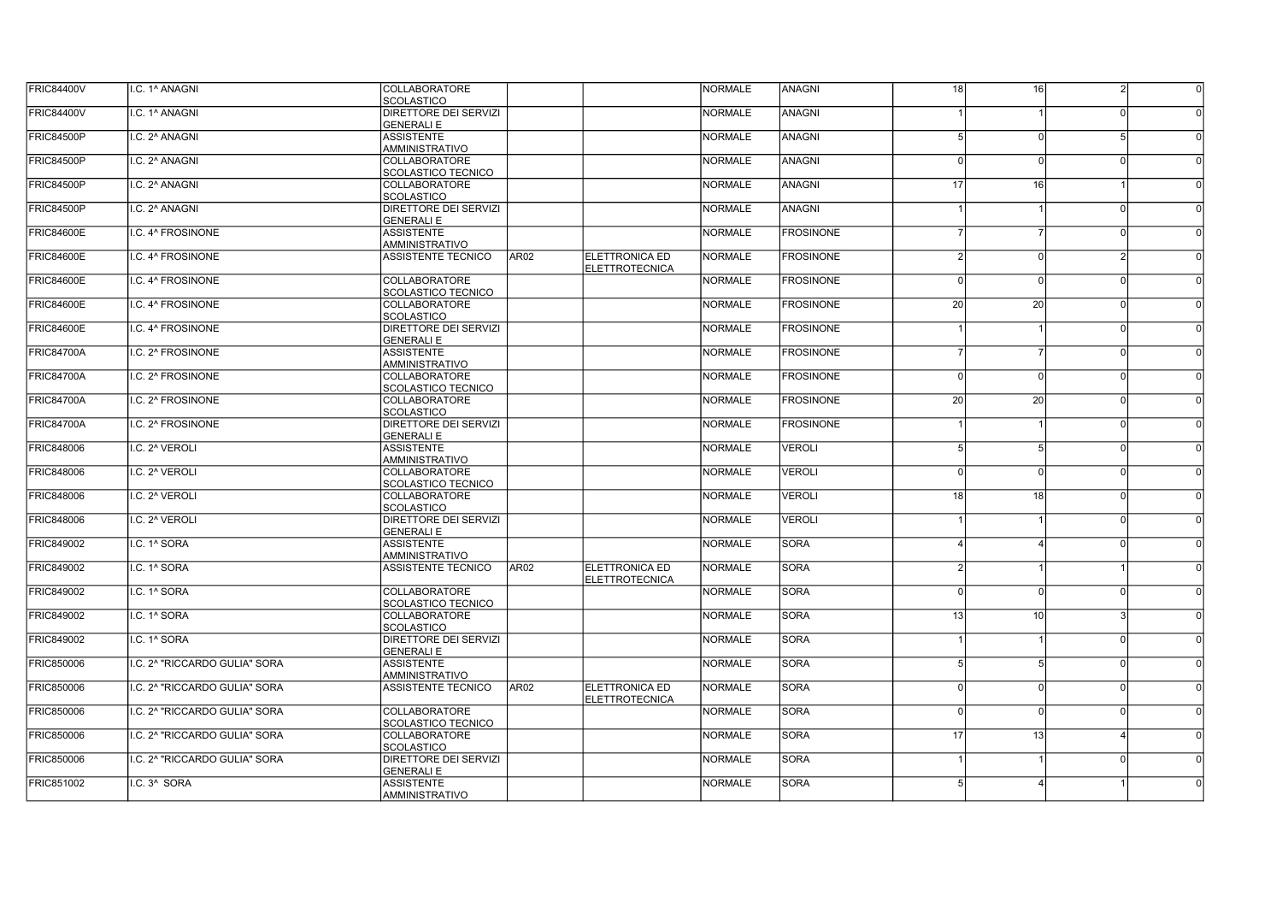| <b>FRIC84400V</b> | I.C. 1^ ANAGNI                | <b>COLLABORATORE</b>                       |                  |                                                | <b>NORMALE</b> | ANAGNI           | 18       | 16              | 2              | $\overline{0}$ |
|-------------------|-------------------------------|--------------------------------------------|------------------|------------------------------------------------|----------------|------------------|----------|-----------------|----------------|----------------|
|                   |                               | <b>SCOLASTICO</b>                          |                  |                                                |                |                  |          |                 |                |                |
| <b>FRIC84400V</b> | I.C. 1^ ANAGNI                | DIRETTORE DEI SERVIZI                      |                  |                                                | <b>NORMALE</b> | <b>ANAGNI</b>    |          |                 | <sup>n</sup>   |                |
|                   |                               | <b>GENERALI E</b>                          |                  |                                                |                |                  |          |                 |                |                |
| <b>FRIC84500P</b> | I.C. 2^ ANAGNI                | <b>ASSISTENTE</b><br>AMMINISTRATIVO        |                  |                                                | <b>NORMALE</b> | <b>ANAGNI</b>    |          |                 | 5 <sup>1</sup> |                |
| <b>FRIC84500P</b> | I.C. 2^ ANAGNI                | <b>COLLABORATORE</b>                       |                  |                                                | <b>NORMALE</b> | <b>ANAGNI</b>    |          | $\Omega$        | $\Omega$       |                |
|                   |                               | SCOLASTICO TECNICO                         |                  |                                                |                |                  |          |                 |                |                |
| <b>FRIC84500P</b> | I.C. 2^ ANAGNI                | <b>COLLABORATORE</b><br><b>SCOLASTICO</b>  |                  |                                                | <b>NORMALE</b> | <b>ANAGNI</b>    | 17       | 16              |                |                |
| <b>FRIC84500P</b> | I.C. 2^ ANAGNI                | DIRETTORE DEI SERVIZI                      |                  |                                                | <b>NORMALE</b> | <b>ANAGNI</b>    |          |                 | 0              |                |
|                   |                               | <b>GENERALI E</b>                          |                  |                                                |                |                  |          |                 |                |                |
| <b>FRIC84600E</b> | I.C. 4^ FROSINONE             | <b>ASSISTENTE</b>                          |                  |                                                | <b>NORMALE</b> | <b>FROSINONE</b> |          |                 | $\Omega$       |                |
|                   |                               | AMMINISTRATIVO                             |                  |                                                |                |                  |          |                 |                |                |
| <b>FRIC84600E</b> | I.C. 4^ FROSINONE             | <b>ASSISTENTE TECNICO</b>                  | AR <sub>02</sub> | <b>ELETTRONICA ED</b><br><b>ELETTROTECNICA</b> | <b>NORMALE</b> | <b>FROSINONE</b> |          | $\Omega$        | $\overline{2}$ |                |
| <b>FRIC84600E</b> | I.C. 4^ FROSINONE             | <b>COLLABORATORE</b>                       |                  |                                                | <b>NORMALE</b> | <b>FROSINONE</b> | $\Omega$ | $\Omega$        | <sup>0</sup>   |                |
|                   |                               | <b>SCOLASTICO TECNICO</b>                  |                  |                                                |                |                  |          |                 |                |                |
| <b>FRIC84600E</b> | I.C. 4^ FROSINONE             | <b>COLLABORATORE</b>                       |                  |                                                | <b>NORMALE</b> | <b>FROSINONE</b> | 20       | 20              | nl             |                |
|                   |                               | <b>SCOLASTICO</b>                          |                  |                                                |                |                  |          |                 |                |                |
| <b>FRIC84600E</b> | I.C. 4^ FROSINONE             | DIRETTORE DEI SERVIZI                      |                  |                                                | <b>NORMALE</b> | <b>FROSINONE</b> |          |                 | <sup>0</sup>   |                |
|                   |                               | <b>GENERALI E</b>                          |                  |                                                |                |                  |          |                 |                |                |
| <b>FRIC84700A</b> | I.C. 2^ FROSINONE             | <b>ASSISTENTE</b>                          |                  |                                                | <b>NORMALE</b> | <b>FROSINONE</b> |          |                 | nl             |                |
| <b>FRIC84700A</b> | I.C. 2^ FROSINONE             | AMMINISTRATIVO<br><b>COLLABORATORE</b>     |                  |                                                | <b>NORMALE</b> | <b>FROSINONE</b> | $\Omega$ | $\Omega$        | n              |                |
|                   |                               | SCOLASTICO TECNICO                         |                  |                                                |                |                  |          |                 |                |                |
| <b>FRIC84700A</b> | I.C. 2^ FROSINONE             | <b>COLLABORATORE</b>                       |                  |                                                | <b>NORMALE</b> | <b>FROSINONE</b> | 20       | $\overline{20}$ | nl             |                |
|                   |                               | <b>SCOLASTICO</b>                          |                  |                                                |                |                  |          |                 |                |                |
| <b>FRIC84700A</b> | I.C. 2^ FROSINONE             | DIRETTORE DEI SERVIZI                      |                  |                                                | <b>NORMALE</b> | <b>FROSINONE</b> |          |                 | <sup>0</sup>   |                |
|                   |                               | <b>GENERALI E</b>                          |                  |                                                |                |                  |          |                 |                |                |
| <b>FRIC848006</b> | I.C. 2 <sup>^</sup> VEROLI    | <b>ASSISTENTE</b>                          |                  |                                                | <b>NORMALE</b> | <b>VEROLI</b>    | 5        | 5               | nl             |                |
|                   |                               | <b>AMMINISTRATIVO</b>                      |                  |                                                |                |                  |          |                 |                |                |
| <b>FRIC848006</b> | I.C. 2 <sup>^</sup> VEROLI    | COLLABORATORE                              |                  |                                                | <b>NORMALE</b> | <b>VEROLI</b>    | $\Omega$ | $\Omega$        | n              |                |
|                   |                               | <b>SCOLASTICO TECNICO</b>                  |                  |                                                |                |                  |          |                 |                |                |
| <b>FRIC848006</b> | I.C. 2 <sup>^</sup> VEROLI    | <b>COLLABORATORE</b><br><b>SCOLASTICO</b>  |                  |                                                | <b>NORMALE</b> | <b>VEROLI</b>    | 18       | 18              | -ni            |                |
| <b>FRIC848006</b> | I.C. 2^ VEROLI                | DIRETTORE DEI SERVIZI                      |                  |                                                | <b>NORMALE</b> | <b>VEROLI</b>    |          |                 | -ni            |                |
|                   |                               | <b>GENERALI E</b>                          |                  |                                                |                |                  |          |                 |                |                |
| <b>FRIC849002</b> | I.C. 1^ SORA                  | <b>ASSISTENTE</b>                          |                  |                                                | <b>NORMALE</b> | <b>SORA</b>      |          |                 | - N            |                |
|                   |                               | <b>AMMINISTRATIVO</b>                      |                  |                                                |                |                  |          |                 |                |                |
| <b>FRIC849002</b> | I.C. 1^ SORA                  | ASSISTENTE TECNICO                         | AR02             | ELETTRONICA ED                                 | <b>NORMALE</b> | <b>SORA</b>      |          |                 |                |                |
|                   |                               |                                            |                  | <b>ELETTROTECNICA</b>                          |                |                  |          |                 |                |                |
| <b>FRIC849002</b> | I.C. 1^ SORA                  | <b>COLLABORATORE</b>                       |                  |                                                | <b>NORMALE</b> | <b>SORA</b>      | $\Omega$ | $\Omega$        | <sup>0</sup>   |                |
|                   |                               | <b>SCOLASTICO TECNICO</b>                  |                  |                                                |                |                  |          |                 | 3              |                |
| <b>FRIC849002</b> | I.C. 1^ SORA                  | COLLABORATORE<br><b>SCOLASTICO</b>         |                  |                                                | <b>NORMALE</b> | <b>SORA</b>      | 13       | 10              |                |                |
| <b>FRIC849002</b> | I.C. 1^ SORA                  | DIRETTORE DEI SERVIZI                      |                  |                                                | <b>NORMALE</b> | <b>SORA</b>      |          |                 | 0l             | $\Omega$       |
|                   |                               | <b>GENERALI E</b>                          |                  |                                                |                |                  |          |                 |                |                |
| <b>FRIC850006</b> | I.C. 2^ "RICCARDO GULIA" SORA | <b>ASSISTENTE</b>                          |                  |                                                | <b>NORMALE</b> | <b>SORA</b>      |          |                 | $\Omega$       |                |
|                   |                               | AMMINISTRATIVO                             |                  |                                                |                |                  |          |                 |                |                |
| <b>FRIC850006</b> | I.C. 2^ "RICCARDO GULIA" SORA | <b>ASSISTENTE TECNICO</b>                  | AR <sub>02</sub> | ELETTRONICA ED                                 | <b>NORMALE</b> | <b>SORA</b>      | $\Omega$ |                 | $\Omega$       |                |
|                   |                               |                                            |                  | <b>ELETTROTECNICA</b>                          |                |                  |          |                 |                |                |
| <b>FRIC850006</b> | I.C. 2^ "RICCARDO GULIA" SORA | <b>COLLABORATORE</b>                       |                  |                                                | <b>NORMALE</b> | <b>SORA</b>      | n        |                 | $\Omega$       |                |
|                   |                               | <b>SCOLASTICO TECNICO</b>                  |                  |                                                |                |                  |          |                 |                |                |
| <b>FRIC850006</b> | I.C. 2^ "RICCARDO GULIA" SORA | <b>COLLABORATORE</b>                       |                  |                                                | <b>NORMALE</b> | <b>SORA</b>      | 17       | 13              | $\Delta$       | $\Omega$       |
|                   |                               | <b>SCOLASTICO</b>                          |                  |                                                |                |                  |          |                 |                |                |
| <b>FRIC850006</b> | I.C. 2^ "RICCARDO GULIA" SORA | DIRETTORE DEI SERVIZI<br><b>GENERALI E</b> |                  |                                                | <b>NORMALE</b> | <b>SORA</b>      |          |                 | 0I             | $\Omega$       |
| <b>FRIC851002</b> | I.C. 3^ SORA                  | <b>ASSISTENTE</b>                          |                  |                                                | <b>NORMALE</b> | <b>SORA</b>      |          |                 |                |                |
|                   |                               | <b>AMMINISTRATIVO</b>                      |                  |                                                |                |                  |          |                 |                |                |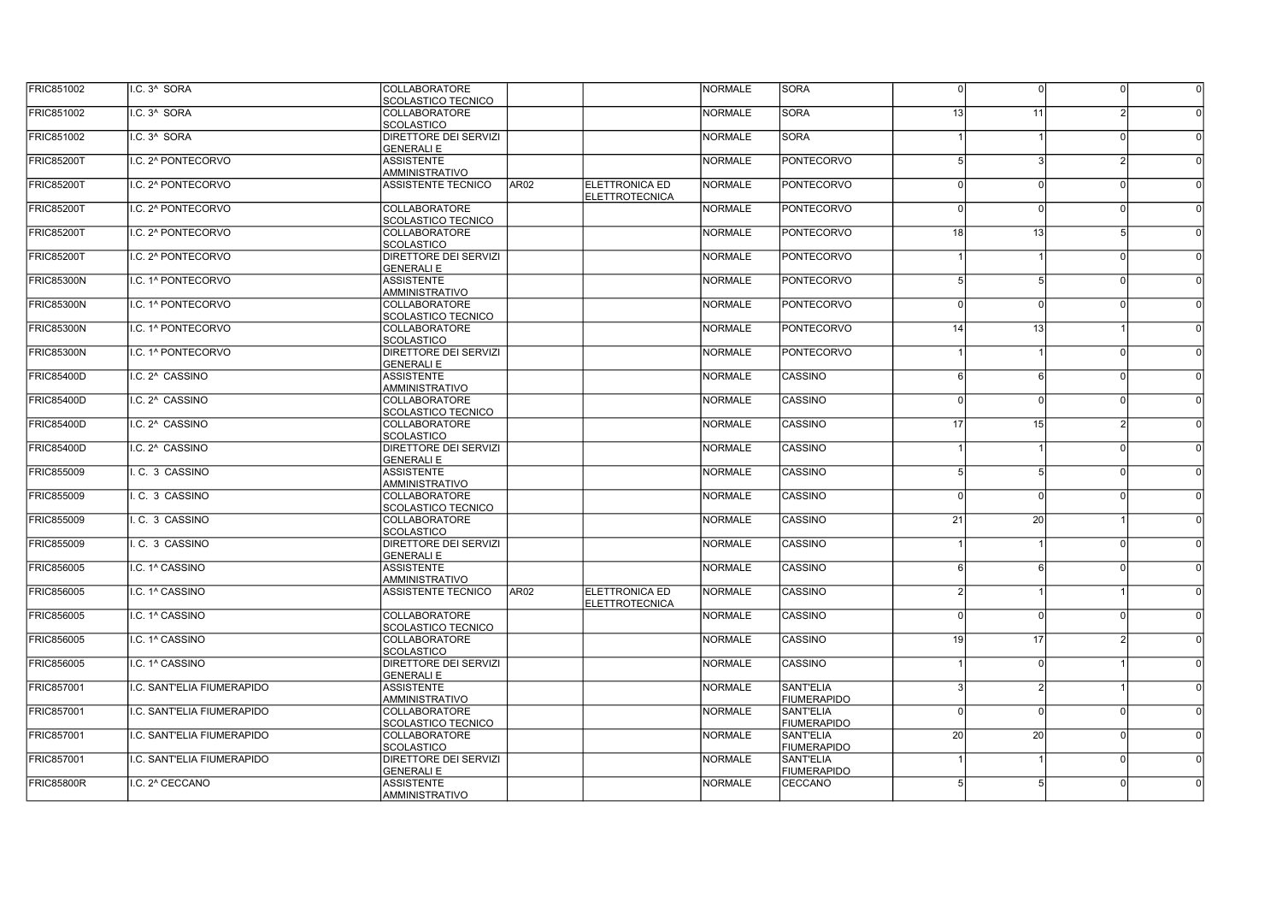| <b>FRIC851002</b> | I.C. 3^ SORA               | COLLABORATORE<br>SCOLASTICO TECNICO               |                  |                                                | <b>NORMALE</b> | <b>SORA</b>                     | $\Omega$ | n               | 0              | $\overline{0}$ |
|-------------------|----------------------------|---------------------------------------------------|------------------|------------------------------------------------|----------------|---------------------------------|----------|-----------------|----------------|----------------|
| <b>FRIC851002</b> | I.C. 3^ SORA               | <b>COLLABORATORE</b><br><b>SCOLASTICO</b>         |                  |                                                | <b>NORMALE</b> | <b>SORA</b>                     | 13       | 11              |                |                |
| <b>FRIC851002</b> | I.C. 3^ SORA               | <b>DIRETTORE DEI SERVIZI</b><br><b>GENERALI E</b> |                  |                                                | <b>NORMALE</b> | <b>SORA</b>                     |          |                 | $\Omega$       |                |
| <b>FRIC85200T</b> | I.C. 2^ PONTECORVO         | <b>ASSISTENTE</b><br><b>AMMINISTRATIVO</b>        |                  |                                                | <b>NORMALE</b> | <b>PONTECORVO</b>               |          |                 |                |                |
| <b>FRIC85200T</b> | II.C. 2^ PONTECORVO        | <b>ASSISTENTE TECNICO</b>                         | AR <sub>02</sub> | <b>ELETTRONICA ED</b><br><b>ELETTROTECNICA</b> | <b>NORMALE</b> | <b>PONTECORVO</b>               | $\Omega$ |                 | $\Omega$       |                |
| <b>FRIC85200T</b> | I.C. 2^ PONTECORVO         | <b>COLLABORATORE</b><br>SCOLASTICO TECNICO        |                  |                                                | <b>NORMALE</b> | <b>PONTECORVO</b>               | $\Omega$ | $\Omega$        | $\Omega$       |                |
| <b>FRIC85200T</b> | I.C. 2^ PONTECORVO         | <b>COLLABORATORE</b><br><b>SCOLASTICO</b>         |                  |                                                | <b>NORMALE</b> | <b>PONTECORVO</b>               | 18       | 13              | 5 <sup>1</sup> |                |
| <b>FRIC85200T</b> | II.C. 2^ PONTECORVO        | <b>DIRETTORE DEI SERVIZI</b><br><b>GENERALI E</b> |                  |                                                | <b>NORMALE</b> | <b>PONTECORVO</b>               |          |                 | 0I             |                |
| FRIC85300N        | II.C. 1^ PONTECORVO        | <b>ASSISTENTE</b><br><b>AMMINISTRATIVO</b>        |                  |                                                | <b>NORMALE</b> | <b>PONTECORVO</b>               |          | 5               | - N            |                |
| FRIC85300N        | II.C. 1^ PONTECORVO        | <b>COLLABORATORE</b><br>SCOLASTICO TECNICO        |                  |                                                | <b>NORMALE</b> | <b>PONTECORVO</b>               | $\Omega$ | $\Omega$        | <sup>0</sup>   |                |
| FRIC85300N        | I.C. 1^ PONTECORVO         | <b>COLLABORATORE</b><br>SCOLASTICO                |                  |                                                | <b>NORMALE</b> | <b>PONTECORVO</b>               | 14       | 13              |                |                |
| FRIC85300N        | II.C. 1^ PONTECORVO        | <b>DIRETTORE DEI SERVIZI</b><br><b>GENERALI E</b> |                  |                                                | <b>NORMALE</b> | <b>PONTECORVO</b>               |          |                 | 0I             |                |
| <b>FRIC85400D</b> | I.C. 2^ CASSINO            | <b>ASSISTENTE</b><br><b>AMMINISTRATIVO</b>        |                  |                                                | <b>NORMALE</b> | <b>CASSINO</b>                  |          | 6               | $\Omega$       |                |
| FRIC85400D        | I.C. 2^ CASSINO            | COLLABORATORE<br>SCOLASTICO TECNICO               |                  |                                                | <b>NORMALE</b> | <b>CASSINO</b>                  | $\Omega$ | $\Omega$        | <sup>0</sup>   |                |
| <b>FRIC85400D</b> | II.C. 2^ CASSINO           | <b>COLLABORATORE</b><br><b>SCOLASTICO</b>         |                  |                                                | <b>NORMALE</b> | <b>CASSINO</b>                  | 17       | 15 <sup>1</sup> | <sup>2</sup>   |                |
| <b>FRIC85400D</b> | I.C. 2^ CASSINO            | DIRETTORE DEI SERVIZI<br><b>GENERALI E</b>        |                  |                                                | <b>NORMALE</b> | <b>CASSINO</b>                  |          |                 | <sup>0</sup>   |                |
| <b>FRIC855009</b> | I. C. 3 CASSINO            | <b>ASSISTENTE</b><br><b>AMMINISTRATIVO</b>        |                  |                                                | <b>NORMALE</b> | CASSINO                         |          |                 | 0              |                |
| <b>FRIC855009</b> | I. C. 3 CASSINO            | COLLABORATORE<br>SCOLASTICO TECNICO               |                  |                                                | <b>NORMALE</b> | <b>CASSINO</b>                  | $\Omega$ | $\Omega$        | 0I             |                |
| <b>FRIC855009</b> | I.C. 3 CASSINO             | <b>COLLABORATORE</b><br><b>SCOLASTICO</b>         |                  |                                                | <b>NORMALE</b> | CASSINO                         | 21       | 20 <sup>1</sup> |                |                |
| <b>FRIC855009</b> | I.C. 3 CASSINO             | DIRETTORE DEI SERVIZI<br><b>GENERALI E</b>        |                  |                                                | <b>NORMALE</b> | CASSINO                         |          |                 | - N            |                |
| <b>FRIC856005</b> | ILC. 1^ CASSINO            | <b>ASSISTENTE</b><br><b>AMMINISTRATIVO</b>        |                  |                                                | <b>NORMALE</b> | CASSINO                         | ĥ        |                 | 0I             |                |
| <b>FRIC856005</b> | I.C. 1^ CASSINO            | <b>ASSISTENTE TECNICO</b>                         | AR <sub>02</sub> | <b>ELETTRONICA ED</b><br><b>ELETTROTECNICA</b> | <b>NORMALE</b> | CASSINO                         |          |                 |                |                |
| <b>FRIC856005</b> | I.C. 1^ CASSINO            | COLLABORATORE<br>SCOLASTICO TECNICO               |                  |                                                | <b>NORMALE</b> | <b>CASSINO</b>                  | $\Omega$ | $\Omega$        | 0l             |                |
| <b>FRIC856005</b> | I.C. 1^ CASSINO            | COLLABORATORE<br><b>SCOLASTICO</b>                |                  |                                                | <b>NORMALE</b> | CASSINO                         | 19       | 17              | $\overline{2}$ |                |
| <b>FRIC856005</b> | I.C. 1^ CASSINO            | DIRETTORE DEI SERVIZI<br><b>GENERALI E</b>        |                  |                                                | <b>NORMALE</b> | <b>CASSINO</b>                  |          | $\Omega$        |                |                |
| <b>FRIC857001</b> | I.C. SANT'ELIA FIUMERAPIDO | <b>ASSISTENTE</b><br><b>AMMINISTRATIVO</b>        |                  |                                                | <b>NORMALE</b> | SANT'ELIA<br><b>FIUMERAPIDO</b> |          |                 |                |                |
| <b>FRIC857001</b> | I.C. SANT'ELIA FIUMERAPIDO | <b>COLLABORATORE</b><br><b>SCOLASTICO TECNICO</b> |                  |                                                | <b>NORMALE</b> | SANT'ELIA<br><b>FIUMERAPIDO</b> | $\Omega$ |                 | $\Omega$       |                |
| <b>FRIC857001</b> | I.C. SANT'ELIA FIUMERAPIDO | <b>COLLABORATORE</b><br><b>SCOLASTICO</b>         |                  |                                                | <b>NORMALE</b> | SANT'ELIA<br><b>FIUMERAPIDO</b> | 20       | 20 <sup>1</sup> | 0l             | $\Omega$       |
| <b>FRIC857001</b> | I.C. SANT'ELIA FIUMERAPIDO | DIRETTORE DEI SERVIZI<br><b>GENERALI E</b>        |                  |                                                | <b>NORMALE</b> | SANT'ELIA<br><b>FIUMERAPIDO</b> |          |                 | $\Omega$       |                |
| <b>FRIC85800R</b> | I.C. 2^ CECCANO            | <b>ASSISTENTE</b><br>AMMINISTRATIVO               |                  |                                                | <b>NORMALE</b> | <b>CECCANO</b>                  |          |                 | ΩI             |                |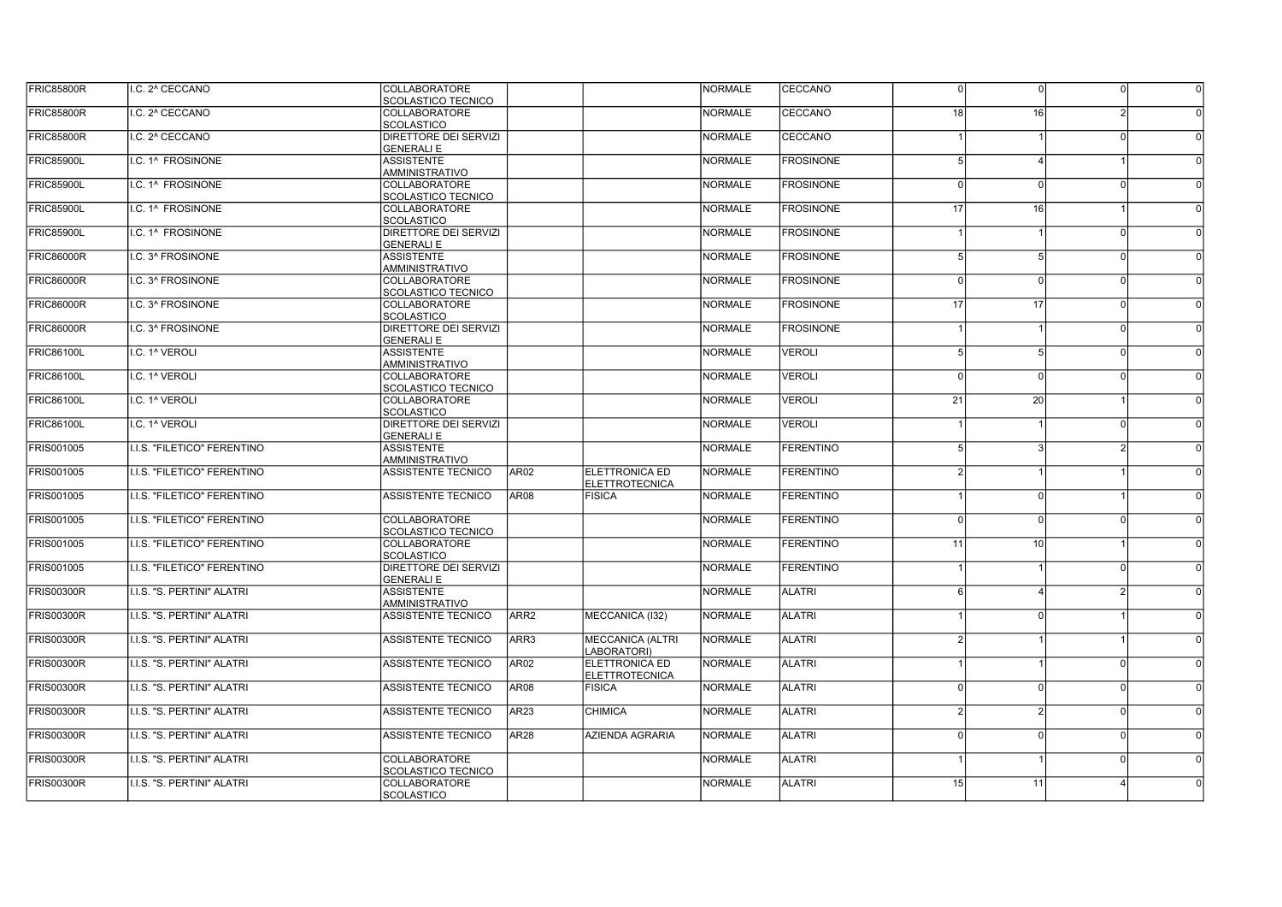| <b>FRIC85800R</b> | I.C. 2^ CECCANO             | <b>COLLABORATORE</b><br>SCOLASTICO TECNICO         |                  |                                        | <b>NORMALE</b> | CECCANO          | $\Omega$ | $\Omega$        | 0            | $\Omega$ |
|-------------------|-----------------------------|----------------------------------------------------|------------------|----------------------------------------|----------------|------------------|----------|-----------------|--------------|----------|
| <b>FRIC85800R</b> | I.C. 2^ CECCANO             | <b>COLLABORATORE</b><br><b>SCOLASTICO</b>          |                  |                                        | <b>NORMALE</b> | CECCANO          | 18       | 16              |              |          |
| <b>FRIC85800R</b> | I.C. 2^ CECCANO             | DIRETTORE DEI SERVIZI                              |                  |                                        | <b>NORMALE</b> | <b>CECCANO</b>   |          |                 |              |          |
| <b>FRIC85900L</b> | I.C. 1^ FROSINONE           | <b>GENERALI E</b><br><b>ASSISTENTE</b>             |                  |                                        | <b>NORMALE</b> | <b>FROSINONE</b> |          |                 |              |          |
| <b>FRIC85900L</b> | I.C. 1^ FROSINONE           | AMMINISTRATIVO<br><b>COLLABORATORE</b>             |                  |                                        | <b>NORMALE</b> | <b>FROSINONE</b> | $\Omega$ |                 | $\Omega$     |          |
| <b>FRIC85900L</b> | I.C. 1^ FROSINONE           | <b>SCOLASTICO TECNICO</b><br><b>COLLABORATORE</b>  |                  |                                        | <b>NORMALE</b> | <b>FROSINONE</b> | 17       | 16              |              |          |
| <b>FRIC85900L</b> | I.C. 1^ FROSINONE           | <b>SCOLASTICO</b><br>DIRETTORE DEI SERVIZI         |                  |                                        | <b>NORMALE</b> | <b>FROSINONE</b> |          |                 | nl           |          |
| <b>FRIC86000R</b> | I.C. 3^ FROSINONE           | <b>GENERALI E</b><br><b>ASSISTENTE</b>             |                  |                                        | <b>NORMALE</b> | <b>FROSINONE</b> |          | 5               | $\cap$       |          |
|                   |                             | AMMINISTRATIVO                                     |                  |                                        |                |                  | $\Omega$ | $\Omega$        | $\cap$       |          |
| <b>FRIC86000R</b> | I.C. 3^ FROSINONE           | COLLABORATORE<br><b>SCOLASTICO TECNICO</b>         |                  |                                        | <b>NORMALE</b> | <b>FROSINONE</b> |          |                 |              |          |
| <b>FRIC86000R</b> | I.C. 3^ FROSINONE           | COLLABORATORE<br><b>SCOLASTICO</b>                 |                  |                                        | <b>NORMALE</b> | <b>FROSINONE</b> | 17       | 17              | nl           |          |
| <b>FRIC86000R</b> | I.C. 3^ FROSINONE           | DIRETTORE DEI SERVIZI<br><b>GENERALI E</b>         |                  |                                        | <b>NORMALE</b> | <b>FROSINONE</b> |          |                 | <sup>0</sup> |          |
| <b>FRIC86100L</b> | I.C. 1 <sup>^</sup> VEROLI  | <b>ASSISTENTE</b><br>AMMINISTRATIVO                |                  |                                        | <b>NORMALE</b> | <b>VEROLI</b>    |          | 5               | nl           |          |
| <b>FRIC86100L</b> | I.C. 1 <sup>^</sup> VEROLI  | <b>COLLABORATORE</b>                               |                  |                                        | <b>NORMALE</b> | <b>VEROLI</b>    | $\Omega$ | $\Omega$        | n            |          |
| <b>FRIC86100L</b> | I.C. 1 <sup>^</sup> VEROLI  | <b>SCOLASTICO TECNICO</b><br><b>COLLABORATORE</b>  |                  |                                        | <b>NORMALE</b> | <b>VEROLI</b>    | 21       | $\overline{20}$ |              |          |
| <b>FRIC86100L</b> | I.C. 1 <sup>^</sup> VEROLI  | <b>SCOLASTICO</b><br>DIRETTORE DEI SERVIZI         |                  |                                        | <b>NORMALE</b> | <b>VEROLI</b>    |          |                 | - N          |          |
| <b>FRIS001005</b> | I.I.S. "FILETICO" FERENTINO | <b>GENERALI E</b><br><b>ASSISTENTE</b>             |                  |                                        | <b>NORMALE</b> | <b>FERENTINO</b> |          |                 |              |          |
| FRIS001005        | I.I.S. "FILETICO" FERENTINO | <b>AMMINISTRATIVO</b><br><b>ASSISTENTE TECNICO</b> | AR <sub>02</sub> | ELETTRONICA ED                         | <b>NORMALE</b> | <b>FERENTINO</b> |          |                 |              |          |
|                   | I.I.S. "FILETICO" FERENTINO | <b>ASSISTENTE TECNICO</b>                          | <b>AR08</b>      | <b>ELETTROTECNICA</b>                  | <b>NORMALE</b> | <b>FERENTINO</b> |          |                 |              |          |
| FRIS001005        |                             |                                                    |                  | <b>FISICA</b>                          |                |                  |          | $\Omega$        |              |          |
| FRIS001005        | I.I.S. "FILETICO" FERENTINO | <b>COLLABORATORE</b><br><b>SCOLASTICO TECNICO</b>  |                  |                                        | <b>NORMALE</b> | <b>FERENTINO</b> | $\Omega$ | $\Omega$        | 0l           |          |
| FRIS001005        | I.I.S. "FILETICO" FERENTINO | <b>COLLABORATORE</b><br><b>SCOLASTICO</b>          |                  |                                        | <b>NORMALE</b> | <b>FERENTINO</b> | 11       | 10              |              |          |
| FRIS001005        | I.I.S. "FILETICO" FERENTINO | DIRETTORE DEI SERVIZI<br><b>GENERALI E</b>         |                  |                                        | <b>NORMALE</b> | <b>FERENTINO</b> |          |                 | 0l           |          |
| <b>FRIS00300R</b> | I.I.S. "S. PERTINI" ALATRI  | <b>ASSISTENTE</b><br><b>AMMINISTRATIVO</b>         |                  |                                        | <b>NORMALE</b> | <b>ALATRI</b>    |          |                 | <b>21</b>    |          |
| <b>FRIS00300R</b> | I.I.S. "S. PERTINI" ALATRI  | <b>ASSISTENTE TECNICO</b>                          | ARR <sub>2</sub> | MECCANICA (132)                        | <b>NORMALE</b> | <b>ALATRI</b>    |          |                 |              |          |
| <b>FRIS00300R</b> | I.I.S. "S. PERTINI" ALATRI  | <b>ASSISTENTE TECNICO</b>                          | ARR3             | <b>MECCANICA (ALTRI</b>                | <b>NORMALE</b> | <b>ALATRI</b>    |          |                 |              |          |
| <b>FRIS00300R</b> | I.I.S. "S. PERTINI" ALATRI  | ASSISTENTE TECNICO                                 | <b>AR02</b>      | LABORATORI)<br>ELETTRONICA ED          | <b>NORMALE</b> | <b>ALATRI</b>    |          |                 | $\Omega$     |          |
| <b>FRIS00300R</b> | I.I.S. "S. PERTINI" ALATRI  | ASSISTENTE TECNICO                                 | <b>AR08</b>      | <b>ELETTROTECNICA</b><br><b>FISICA</b> | <b>NORMALE</b> | <b>ALATRI</b>    | $\Omega$ | $\Omega$        | 0l           |          |
| <b>FRIS00300R</b> | I.I.S. "S. PERTINI" ALATRI  | ASSISTENTE TECNICO                                 | AR <sub>23</sub> | <b>CHIMICA</b>                         | <b>NORMALE</b> | <b>ALATRI</b>    |          |                 | U            |          |
| <b>FRIS00300R</b> | I.I.S. "S. PERTINI" ALATRI  | ASSISTENTE TECNICO                                 | AR <sub>28</sub> | <b>AZIENDA AGRARIA</b>                 | <b>NORMALE</b> | <b>ALATRI</b>    | $\Omega$ | $\Omega$        | $\Omega$     |          |
| <b>FRIS00300R</b> | I.I.S. "S. PERTINI" ALATRI  | COLLABORATORE                                      |                  |                                        | <b>NORMALE</b> | <b>ALATRI</b>    |          |                 | $\Omega$     |          |
| <b>FRIS00300R</b> | I.I.S. "S. PERTINI" ALATRI  | SCOLASTICO TECNICO<br><b>COLLABORATORE</b>         |                  |                                        | <b>NORMALE</b> | <b>ALATRI</b>    | 15       | 11              |              |          |
|                   |                             | <b>SCOLASTICO</b>                                  |                  |                                        |                |                  |          |                 |              |          |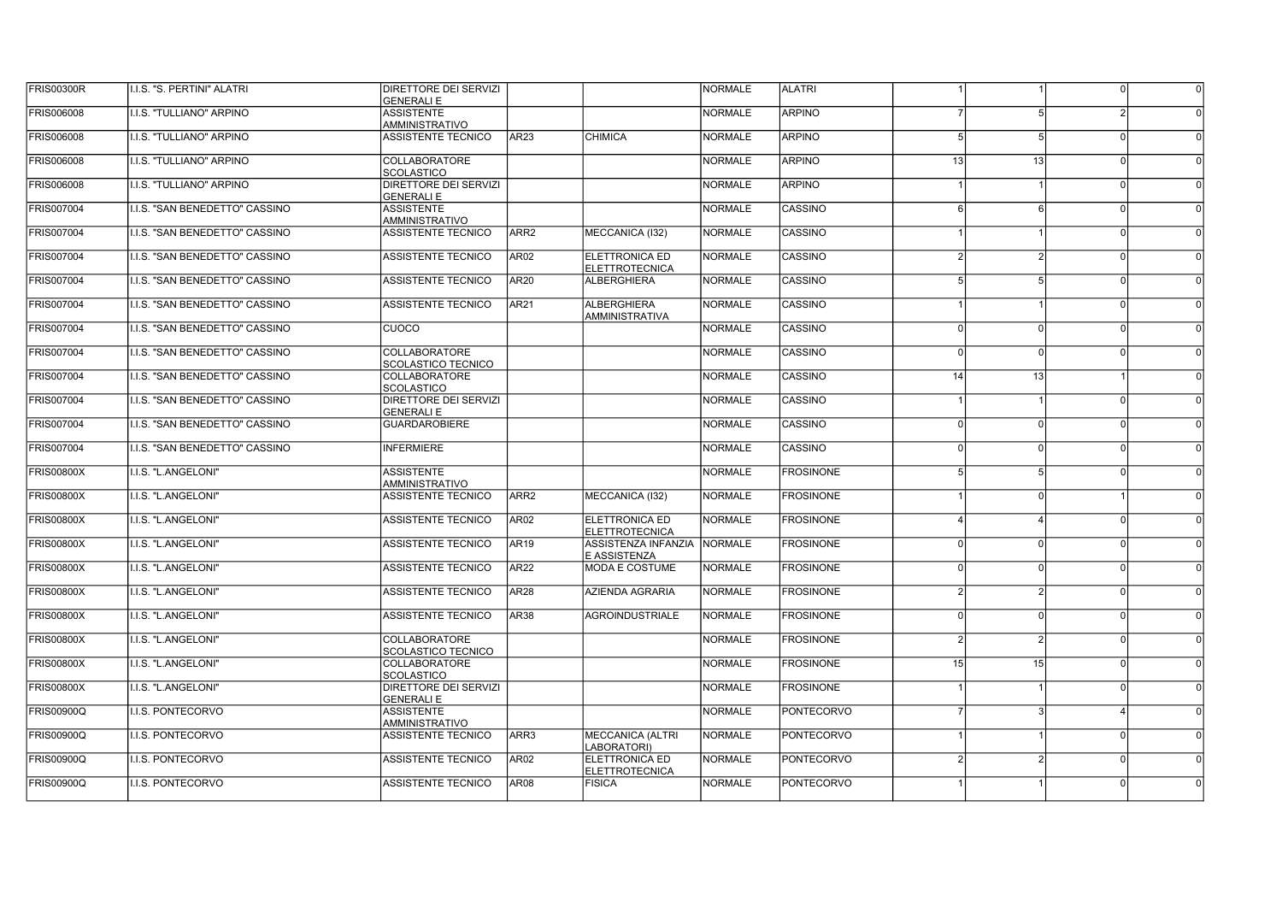| <b>FRIS00300R</b> | I.I.S. "S. PERTINI" ALATRI            | DIRETTORE DEI SERVIZI<br><b>GENERALI E</b> |                  |                                                | NORMALE        | <b>ALATRI</b>     |               |                | $\Omega$     |  |
|-------------------|---------------------------------------|--------------------------------------------|------------------|------------------------------------------------|----------------|-------------------|---------------|----------------|--------------|--|
| FRIS006008        | I.I.S. "TULLIANO" ARPINO              | <b>ASSISTENTE</b><br>AMMINISTRATIVO        |                  |                                                | <b>NORMALE</b> | <b>ARPINO</b>     |               | 5              |              |  |
| FRIS006008        | I.I.S. "TULLIANO" ARPINO              | <b>ASSISTENTE TECNICO</b>                  | AR <sub>23</sub> | <b>CHIMICA</b>                                 | <b>NORMALE</b> | <b>ARPINO</b>     |               | 5              | $\Omega$     |  |
| FRIS006008        | I.I.S. "TULLIANO" ARPINO              | <b>COLLABORATORE</b><br><b>SCOLASTICO</b>  |                  |                                                | <b>NORMALE</b> | <b>ARPINO</b>     | 13            | 13             | $\Omega$     |  |
| FRIS006008        | I.I.S. "TULLIANO" ARPINO              | DIRETTORE DEI SERVIZI<br><b>GENERALI E</b> |                  |                                                | <b>NORMALE</b> | <b>ARPINO</b>     |               |                | $\Omega$     |  |
| FRIS007004        | I.I.S. "SAN BENEDETTO" CASSINO        | <b>ASSISTENTE</b><br>AMMINISTRATIVO        |                  |                                                | <b>NORMALE</b> | CASSINO           | ĥ             | 6              | $\Omega$     |  |
| FRIS007004        | I.I.S. "SAN BENEDETTO" CASSINO        | ASSISTENTE TECNICO                         | ARR2             | MECCANICA (I32)                                | <b>NORMALE</b> | CASSINO           |               |                | nl           |  |
| FRIS007004        | I.I.S. "SAN BENEDETTO" CASSINO        | <b>ASSISTENTE TECNICO</b>                  | AR02             | <b>ELETTRONICA ED</b><br><b>ELETTROTECNICA</b> | <b>NORMALE</b> | CASSINO           |               | $\mathcal{P}$  | nl           |  |
| FRIS007004        | I.I.S. "SAN BENEDETTO" CASSINO        | <b>ASSISTENTE TECNICO</b>                  | <b>AR20</b>      | <b>ALBERGHIERA</b>                             | <b>NORMALE</b> | CASSINO           |               | 5              | nl           |  |
| <b>FRIS007004</b> | I.I.S. "SAN BENEDETTO" CASSINO        | <b>ASSISTENTE TECNICO</b>                  | <b>AR21</b>      | <b>ALBERGHIERA</b><br><b>AMMINISTRATIVA</b>    | <b>NORMALE</b> | <b>CASSINO</b>    |               |                | <sup>0</sup> |  |
| <b>FRIS007004</b> | I.I.S. "SAN BENEDETTO" CASSINO        | <b>CUOCO</b>                               |                  |                                                | <b>NORMALE</b> | CASSINO           | <sup>n</sup>  | $\Omega$       | nl           |  |
| <b>FRIS007004</b> | I.I.S. "SAN BENEDETTO" CASSINO        | COLLABORATORE<br>SCOLASTICO TECNICO        |                  |                                                | <b>NORMALE</b> | <b>CASSINO</b>    | $\Omega$      | $\Omega$       | - N          |  |
| <b>FRIS007004</b> | <b>I.I.S. "SAN BENEDETTO" CASSINO</b> | COLLABORATORE<br><b>SCOLASTICO</b>         |                  |                                                | <b>NORMALE</b> | CASSINO           | 14            | 13             |              |  |
| <b>FRIS007004</b> | I.I.S. "SAN BENEDETTO" CASSINO        | DIRETTORE DEI SERVIZI<br><b>GENERALI E</b> |                  |                                                | <b>NORMALE</b> | <b>CASSINO</b>    |               |                | $\Omega$     |  |
| <b>FRIS007004</b> | I.I.S. "SAN BENEDETTO" CASSINO        | <b>GUARDAROBIERE</b>                       |                  |                                                | <b>NORMALE</b> | <b>CASSINO</b>    | $\Omega$      | $\mathfrak{o}$ | 0l           |  |
| <b>FRIS007004</b> | I.I.S. "SAN BENEDETTO" CASSINO        | <b>INFERMIERE</b>                          |                  |                                                | <b>NORMALE</b> | <b>CASSINO</b>    | $\Omega$      | $\Omega$       | 0l           |  |
| <b>FRIS00800X</b> | I.I.S. "L.ANGELONI"                   | <b>ASSISTENTE</b><br><b>AMMINISTRATIVO</b> |                  |                                                | <b>NORMALE</b> | <b>FROSINONE</b>  |               | 5              | 0l           |  |
| <b>FRIS00800X</b> | I.I.S. "L.ANGELONI"                   | <b>ASSISTENTE TECNICO</b>                  | ARR <sub>2</sub> | MECCANICA (I32)                                | <b>NORMALE</b> | <b>FROSINONE</b>  |               | $\Omega$       |              |  |
| <b>FRIS00800X</b> | I.I.S. "L.ANGELONI"                   | <b>ASSISTENTE TECNICO</b>                  | <b>AR02</b>      | <b>ELETTRONICA ED</b><br><b>ELETTROTECNICA</b> | <b>NORMALE</b> | <b>FROSINONE</b>  |               |                | - N          |  |
| <b>FRIS00800X</b> | I.I.S. "L.ANGELONI"                   | ASSISTENTE TECNICO                         | <b>AR19</b>      | ASSISTENZA INFANZIA<br>E ASSISTENZA            | <b>NORMALE</b> | <b>FROSINONE</b>  | $\Omega$      | $\mathbf{0}$   | 0l           |  |
| <b>FRIS00800X</b> | I.I.S. "L.ANGELONI"                   | ASSISTENTE TECNICO                         | <b>AR22</b>      | <b>MODA E COSTUME</b>                          | <b>NORMALE</b> | <b>FROSINONE</b>  |               | $\Omega$       | 0l           |  |
| <b>FRIS00800X</b> | I.I.S. "L.ANGELONI"                   | ASSISTENTE TECNICO                         | <b>AR28</b>      | AZIENDA AGRARIA                                | <b>NORMALE</b> | <b>FROSINONE</b>  |               | 2              | $\Omega$     |  |
| <b>FRIS00800X</b> | I.I.S. "L.ANGELONI"                   | <b>ASSISTENTE TECNICO</b>                  | <b>AR38</b>      | <b>AGROINDUSTRIALE</b>                         | <b>NORMALE</b> | <b>FROSINONE</b>  |               | $\Omega$       | $\Omega$     |  |
| <b>FRIS00800X</b> | I.I.S. "L.ANGELONI"                   | <b>COLLABORATORE</b><br>SCOLASTICO TECNICO |                  |                                                | <b>NORMALE</b> | <b>FROSINONE</b>  | $\mathcal{P}$ | $\overline{2}$ | nl           |  |
| <b>FRIS00800X</b> | I.I.S. "L.ANGELONI"                   | COLLABORATORE<br>SCOLASTICO                |                  |                                                | <b>NORMALE</b> | <b>FROSINONE</b>  | 15            | 15             | $\Omega$     |  |
| <b>FRIS00800X</b> | I.I.S. "L.ANGELONI"                   | DIRETTORE DEI SERVIZI<br><b>GENERALI E</b> |                  |                                                | <b>NORMALE</b> | <b>FROSINONE</b>  |               |                | -ni          |  |
| <b>FRIS00900Q</b> | I.I.S. PONTECORVO                     | <b>ASSISTENTE</b><br>AMMINISTRATIVO        |                  |                                                | <b>NORMALE</b> | <b>PONTECORVO</b> |               | 3              |              |  |
| <b>FRIS00900Q</b> | I.I.S. PONTECORVO                     | <b>ASSISTENTE TECNICO</b>                  | ARR3             | <b>MECCANICA (ALTRI</b><br>ABORATORI)          | <b>NORMALE</b> | PONTECORVO        |               |                | 0l           |  |
| <b>FRIS00900Q</b> | I.I.S. PONTECORVO                     | <b>ASSISTENTE TECNICO</b>                  | AR <sub>02</sub> | <b>ELETTRONICA ED</b><br><b>ELETTROTECNICA</b> | <b>NORMALE</b> | <b>PONTECORVO</b> | $\mathcal{P}$ | $\mathcal{D}$  | $\Omega$     |  |
| <b>FRIS00900Q</b> | II.I.S. PONTECORVO                    | <b>ASSISTENTE TECNICO</b>                  | <b>AR08</b>      | <b>FISICA</b>                                  | <b>NORMALE</b> | <b>PONTECORVO</b> |               |                |              |  |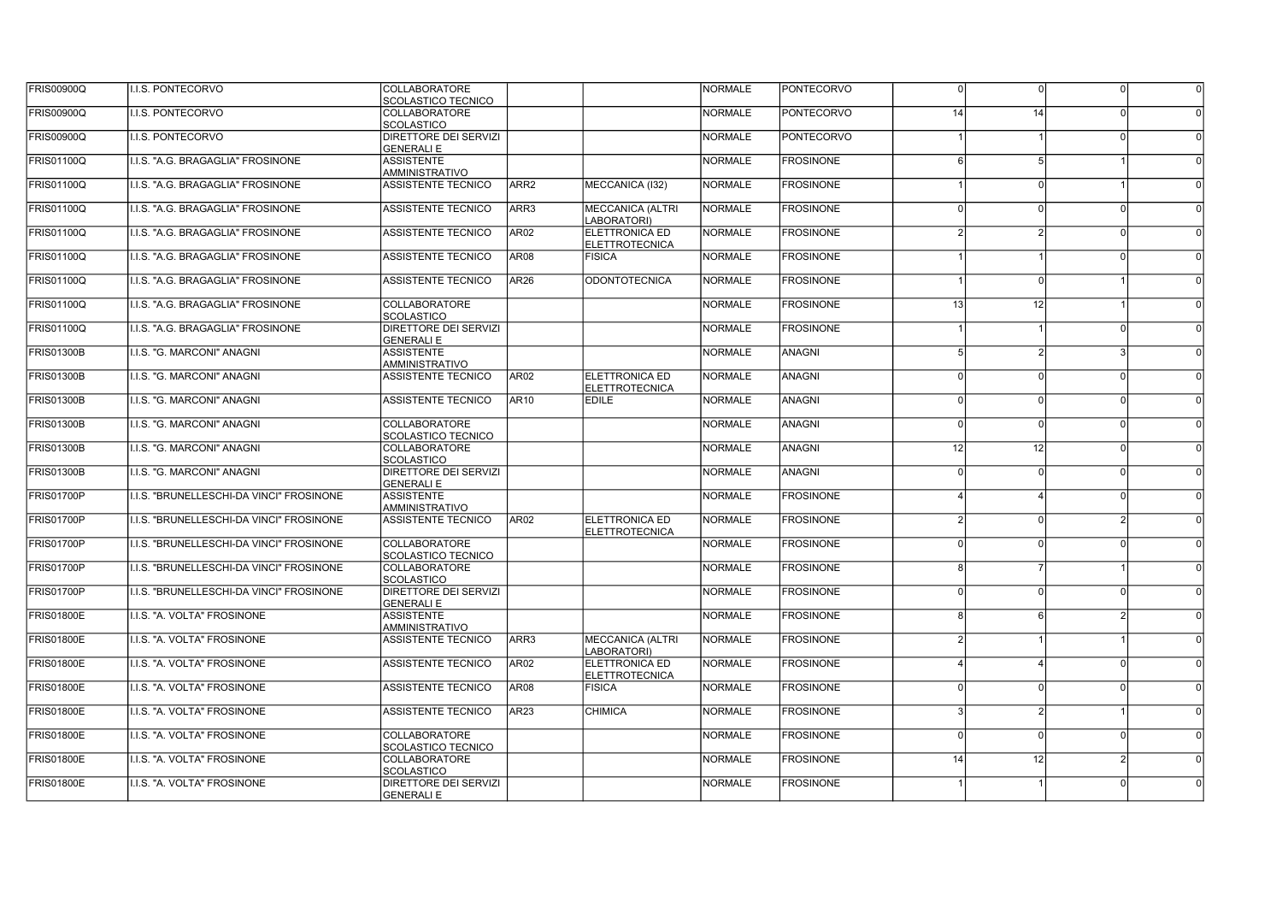| <b>FRIS00900Q</b> | I.I.S. PONTECORVO                        | COLLABORATORE<br>SCOLASTICO TECNICO               |                  |                                                | <b>NORMALE</b> | <b>PONTECORVO</b> | $\Omega$        | $\Omega$      | $\Omega$ |  |
|-------------------|------------------------------------------|---------------------------------------------------|------------------|------------------------------------------------|----------------|-------------------|-----------------|---------------|----------|--|
| <b>FRIS00900Q</b> | I.I.S. PONTECORVO                        | COLLABORATORE<br><b>SCOLASTICO</b>                |                  |                                                | <b>NORMALE</b> | <b>PONTECORVO</b> | 14              | 14            |          |  |
| <b>FRIS00900Q</b> | I.I.S. PONTECORVO                        | <b>DIRETTORE DEI SERVIZI</b><br><b>GENERALI E</b> |                  |                                                | <b>NORMALE</b> | <b>PONTECORVO</b> |                 |               | $\Omega$ |  |
| <b>FRIS01100Q</b> | I.I.S. "A.G. BRAGAGLIA" FROSINONE        | <b>ASSISTENTE</b><br><b>AMMINISTRATIVO</b>        |                  |                                                | <b>NORMALE</b> | <b>FROSINONE</b>  |                 | 5             |          |  |
| FRIS01100Q        | I.I.S. "A.G. BRAGAGLIA" FROSINONE        | <b>ASSISTENTE TECNICO</b>                         | ARR <sub>2</sub> | MECCANICA (I32)                                | <b>NORMALE</b> | <b>FROSINONE</b>  |                 | $\Omega$      |          |  |
| <b>FRIS01100Q</b> | I.I.S. "A.G. BRAGAGLIA" FROSINONE        | <b>ASSISTENTE TECNICO</b>                         | ARR3             | <b>MECCANICA (ALTRI</b><br>LABORATORI)         | <b>NORMALE</b> | <b>FROSINONE</b>  |                 | $\Omega$      | $\Omega$ |  |
| FRIS01100Q        | I.I.S. "A.G. BRAGAGLIA" FROSINONE        | <b>ASSISTENTE TECNICO</b>                         | <b>AR02</b>      | <b>ELETTRONICA ED</b><br><b>ELETTROTECNICA</b> | <b>NORMALE</b> | <b>FROSINONE</b>  |                 |               | $\Omega$ |  |
| <b>FRIS01100Q</b> | I.I.S. "A.G. BRAGAGLIA" FROSINONE        | <b>ASSISTENTE TECNICO</b>                         | <b>AR08</b>      | <b>FISICA</b>                                  | <b>NORMALE</b> | <b>FROSINONE</b>  |                 |               | $\Omega$ |  |
| FRIS01100Q        | I.I.S. "A.G. BRAGAGLIA" FROSINONE        | ASSISTENTE TECNICO                                | AR26             | <b>ODONTOTECNICA</b>                           | <b>NORMALE</b> | <b>FROSINONE</b>  |                 | $\Omega$      |          |  |
| FRIS01100Q        | I.I.S. "A.G. BRAGAGLIA" FROSINONE        | <b>COLLABORATORE</b><br><b>SCOLASTICO</b>         |                  |                                                | <b>NORMALE</b> | <b>FROSINONE</b>  | 13 <sup>1</sup> | 12            |          |  |
| FRIS01100Q        | I.I.S. "A.G. BRAGAGLIA" FROSINONE        | DIRETTORE DEI SERVIZI<br><b>GENERALI E</b>        |                  |                                                | <b>NORMALE</b> | <b>FROSINONE</b>  |                 |               | $\cap$   |  |
| <b>FRIS01300B</b> | I.I.S. "G. MARCONI" ANAGNI               | <b>ASSISTENTE</b><br><b>AMMINISTRATIVO</b>        |                  |                                                | <b>NORMALE</b> | ANAGNI            | 5               | $\mathcal{P}$ | ર        |  |
| <b>FRIS01300B</b> | II.I.S. "G. MARCONI" ANAGNI              | <b>ASSISTENTE TECNICO</b>                         | AR02             | <b>ELETTRONICA ED</b><br><b>ELETTROTECNICA</b> | <b>NORMALE</b> | <b>ANAGNI</b>     | $\Omega$        | $\Omega$      | $\Omega$ |  |
| <b>FRIS01300B</b> | I.I.S. "G. MARCONI" ANAGNI               | <b>ASSISTENTE TECNICO</b>                         | AR10             | <b>EDILE</b>                                   | <b>NORMALE</b> | <b>ANAGNI</b>     | $\Omega$        | $\Omega$      | nl       |  |
| <b>FRIS01300B</b> | I.I.S. "G. MARCONI" ANAGNI               | <b>COLLABORATORE</b><br><b>SCOLASTICO TECNICO</b> |                  |                                                | <b>NORMALE</b> | <b>ANAGNI</b>     | $\Omega$        | $\Omega$      | $\Omega$ |  |
| <b>FRIS01300B</b> | I.I.S. "G. MARCONI" ANAGNI               | <b>COLLABORATORE</b><br><b>SCOLASTICO</b>         |                  |                                                | <b>NORMALE</b> | <b>ANAGNI</b>     | 12 <sup>1</sup> | 12            | n        |  |
| <b>FRIS01300B</b> | II.I.S. "G. MARCONI" ANAGNI              | <b>DIRETTORE DEI SERVIZI</b><br><b>GENERALI E</b> |                  |                                                | <b>NORMALE</b> | <b>ANAGNI</b>     | ΩI              | $\Omega$      | $\Omega$ |  |
| <b>FRIS01700P</b> | I.I.S. "BRUNELLESCHI-DA VINCI" FROSINONE | <b>ASSISTENTE</b><br>AMMINISTRATIVO               |                  |                                                | <b>NORMALE</b> | <b>FROSINONE</b>  |                 |               | $\Omega$ |  |
| <b>FRIS01700P</b> | I.I.S. "BRUNELLESCHI-DA VINCI" FROSINONE | ASSISTENTE TECNICO                                | AR02             | ELETTRONICA ED<br><b>ELETTROTECNICA</b>        | <b>NORMALE</b> | <b>FROSINONE</b>  |                 | $\Omega$      |          |  |
| <b>FRIS01700P</b> | I.I.S. "BRUNELLESCHI-DA VINCI" FROSINONE | <b>COLLABORATORE</b><br>SCOLASTICO TECNICO        |                  |                                                | <b>NORMALE</b> | <b>FROSINONE</b>  | ΩI              | $\Omega$      | n l      |  |
| FRIS01700P        | ILLS. "BRUNELLESCHI-DA VINCI" FROSINONE  | <b>COLLABORATORE</b><br><b>SCOLASTICO</b>         |                  |                                                | <b>NORMALE</b> | <b>FROSINONE</b>  | R               | -7            |          |  |
| <b>FRIS01700P</b> | I.I.S. "BRUNELLESCHI-DA VINCI" FROSINONE | <b>DIRETTORE DEI SERVIZI</b><br><b>GENERALI E</b> |                  |                                                | <b>NORMALE</b> | <b>FROSINONE</b>  | ΩI              | $\Omega$      | $\cap$   |  |
| <b>FRIS01800E</b> | I.I.S. "A. VOLTA" FROSINONE              | <b>ASSISTENTE</b><br><b>AMMINISTRATIVO</b>        |                  |                                                | <b>NORMALE</b> | <b>FROSINONE</b>  | R               | 6             |          |  |
| <b>FRIS01800E</b> | I.I.S. "A. VOLTA" FROSINONE              | ASSISTENTE TECNICO                                | ARR3             | <b>MECCANICA (ALTRI</b><br>LABORATORI)         | <b>NORMALE</b> | <b>FROSINONE</b>  | $\overline{2}$  |               |          |  |
| <b>FRIS01800E</b> | I.I.S. "A. VOLTA" FROSINONE              | ASSISTENTE TECNICO                                | AR02             | ELETTRONICA ED<br><b>ELETTROTECNICA</b>        | <b>NORMALE</b> | <b>FROSINONE</b>  |                 |               | $\Omega$ |  |
| <b>FRIS01800E</b> | I.I.S. "A. VOLTA" FROSINONE              | <b>ASSISTENTE TECNICO</b>                         | <b>AR08</b>      | <b>FISICA</b>                                  | <b>NORMALE</b> | <b>FROSINONE</b>  | $\Omega$        | $\Omega$      | $\Omega$ |  |
| <b>FRIS01800E</b> | I.I.S. "A. VOLTA" FROSINONE              | <b>ASSISTENTE TECNICO</b>                         | AR <sub>23</sub> | CHIMICA                                        | <b>NORMALE</b> | <b>FROSINONE</b>  |                 | 2             |          |  |
| <b>FRIS01800E</b> | I.I.S. "A. VOLTA" FROSINONE              | <b>COLLABORATORE</b><br><b>SCOLASTICO TECNICO</b> |                  |                                                | <b>NORMALE</b> | <b>FROSINONE</b>  | $\Omega$        | $\Omega$      | 0l       |  |
| <b>FRIS01800E</b> | I.I.S. "A. VOLTA" FROSINONE              | <b>COLLABORATORE</b><br><b>SCOLASTICO</b>         |                  |                                                | <b>NORMALE</b> | <b>FROSINONE</b>  | 14              | 12            |          |  |
| <b>FRIS01800E</b> | I.I.S. "A. VOLTA" FROSINONE              | DIRETTORE DEI SERVIZI<br><b>GENERALI E</b>        |                  |                                                | <b>NORMALE</b> | <b>FROSINONE</b>  |                 |               |          |  |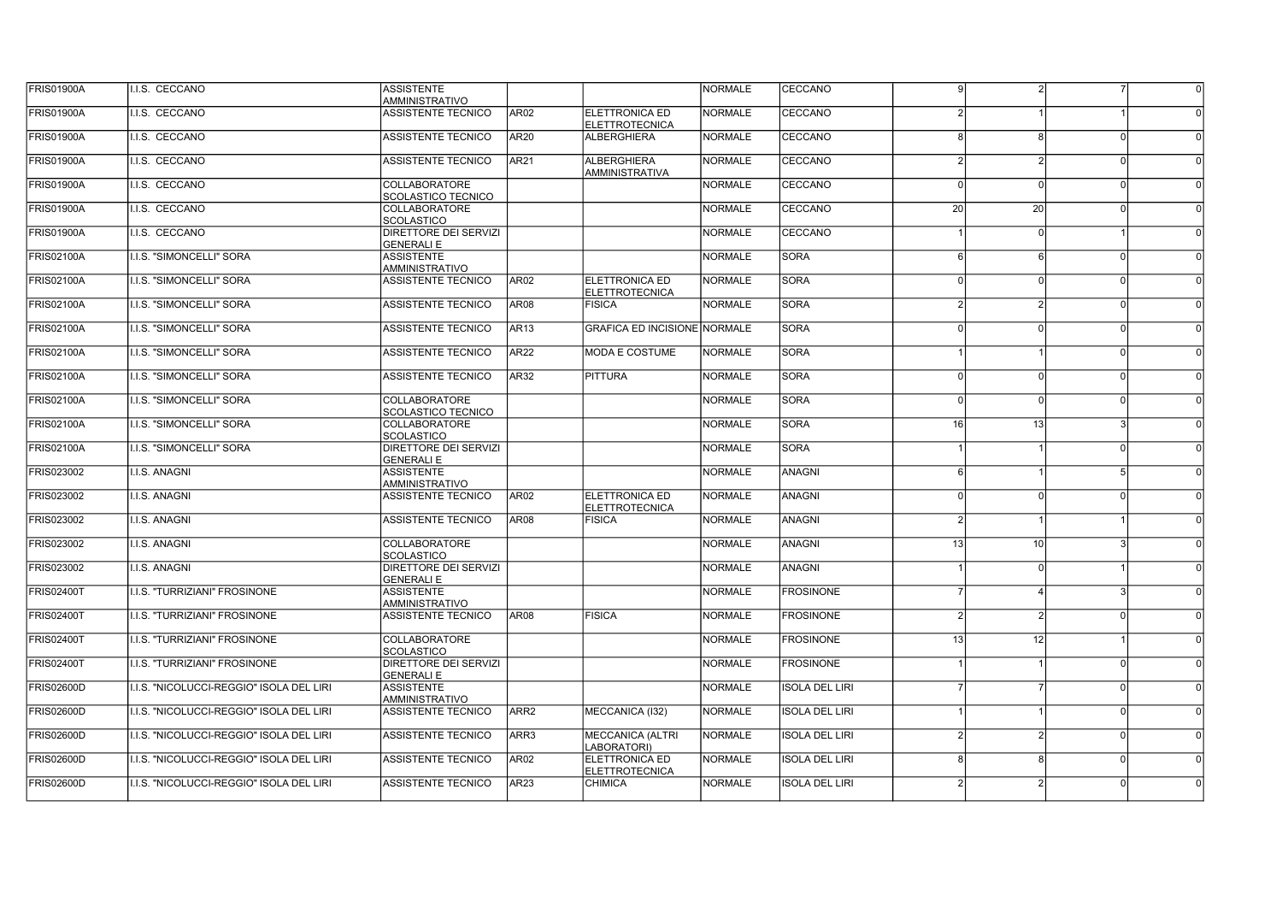| <b>FRIS01900A</b> | I.I.S. CECCANO                           | <b>ASSISTENTE</b><br>AMMINISTRATIVO               |                  |                                                | NORMALE        | CECCANO               | 9             |                 |          |  |
|-------------------|------------------------------------------|---------------------------------------------------|------------------|------------------------------------------------|----------------|-----------------------|---------------|-----------------|----------|--|
| <b>FRIS01900A</b> | I.I.S. CECCANO                           | <b>ASSISTENTE TECNICO</b>                         | AR02             | <b>ELETTRONICA ED</b><br><b>ELETTROTECNICA</b> | <b>NORMALE</b> | CECCANO               |               |                 |          |  |
| <b>FRIS01900A</b> | I.I.S. CECCANO                           | <b>ASSISTENTE TECNICO</b>                         | <b>AR20</b>      | <b>ALBERGHIERA</b>                             | <b>NORMALE</b> | CECCANO               |               | 8               | $\Omega$ |  |
| <b>FRIS01900A</b> | I.I.S. CECCANO                           | <b>ASSISTENTE TECNICO</b>                         | <b>AR21</b>      | <b>ALBERGHIERA</b><br><b>AMMINISTRATIVA</b>    | <b>NORMALE</b> | CECCANO               |               |                 |          |  |
| <b>FRIS01900A</b> | I.I.S. CECCANO                           | <b>COLLABORATORE</b><br><b>SCOLASTICO TECNICO</b> |                  |                                                | <b>NORMALE</b> | CECCANO               |               | $\Omega$        | $\Omega$ |  |
| <b>FRIS01900A</b> | I.I.S. CECCANO                           | COLLABORATORE<br>SCOLASTICO                       |                  |                                                | <b>NORMALE</b> | CECCANO               | 20            | 20              | $\Omega$ |  |
| <b>FRIS01900A</b> | I.I.S. CECCANO                           | DIRETTORE DEI SERVIZI<br><b>GENERALI E</b>        |                  |                                                | <b>NORMALE</b> | CECCANO               |               | $\Omega$        |          |  |
| <b>FRIS02100A</b> | I.I.S. "SIMONCELLI" SORA                 | <b>ASSISTENTE</b><br>AMMINISTRATIVO               |                  |                                                | <b>NORMALE</b> | <b>SORA</b>           |               | $6\overline{6}$ | nl       |  |
| <b>FRIS02100A</b> | I.I.S. "SIMONCELLI" SORA                 | <b>ASSISTENTE TECNICO</b>                         | <b>AR02</b>      | <b>ELETTRONICA ED</b><br><b>ELETTROTECNICA</b> | <b>NORMALE</b> | <b>SORA</b>           |               | $\Omega$        | nl       |  |
| <b>FRIS02100A</b> | I.I.S. "SIMONCELLI" SORA                 | <b>ASSISTENTE TECNICO</b>                         | AR08             | <b>FISICA</b>                                  | <b>NORMALE</b> | <b>SORA</b>           | $\mathcal{P}$ | $\mathcal{P}$   | nl       |  |
| <b>FRIS02100A</b> | I.I.S. "SIMONCELLI" SORA                 | <b>ASSISTENTE TECNICO</b>                         | <b>AR13</b>      | <b>GRAFICA ED INCISIONE NORMALE</b>            |                | <b>SORA</b>           | <sup>n</sup>  | $\Omega$        | nl       |  |
| <b>FRIS02100A</b> | I.I.S. "SIMONCELLI" SORA                 | <b>ASSISTENTE TECNICO</b>                         | AR22             | <b>MODA E COSTUME</b>                          | <b>NORMALE</b> | <b>SORA</b>           |               |                 | - N      |  |
| <b>FRIS02100A</b> | <b>I.I.S. "SIMONCELLI" SORA</b>          | ASSISTENTE TECNICO                                | AR32             | <b>PITTURA</b>                                 | <b>NORMALE</b> | <b>SORA</b>           | $\Omega$      | $\Omega$        | - N      |  |
| <b>FRIS02100A</b> | I.I.S. "SIMONCELLI" SORA                 | COLLABORATORE<br>SCOLASTICO TECNICO               |                  |                                                | <b>NORMALE</b> | <b>SORA</b>           | $\Omega$      | $\Omega$        | 0l       |  |
| <b>FRIS02100A</b> | I.I.S. "SIMONCELLI" SORA                 | COLLABORATORE<br><b>SCOLASTICO</b>                |                  |                                                | <b>NORMALE</b> | <b>SORA</b>           | 16            | 13              |          |  |
| <b>FRIS02100A</b> | I.I.S. "SIMONCELLI" SORA                 | DIRETTORE DEI SERVIZI<br><b>GENERALI E</b>        |                  |                                                | <b>NORMALE</b> | <b>SORA</b>           |               |                 | 0I       |  |
| FRIS023002        | <b>I.I.S. ANAGNI</b>                     | <b>ASSISTENTE</b><br><b>AMMINISTRATIVO</b>        |                  |                                                | <b>NORMALE</b> | <b>ANAGNI</b>         | 6             |                 | -51      |  |
| FRIS023002        | <b>I.I.S. ANAGNI</b>                     | <b>ASSISTENTE TECNICO</b>                         | AR <sub>02</sub> | <b>ELETTRONICA ED</b><br><b>ELETTROTECNICA</b> | <b>NORMALE</b> | <b>ANAGNI</b>         | $\Omega$      | $\Omega$        | ΩI       |  |
| FRIS023002        | I.I.S. ANAGNI                            | <b>ASSISTENTE TECNICO</b>                         | <b>AR08</b>      | <b>FISICA</b>                                  | <b>NORMALE</b> | <b>ANAGNI</b>         |               |                 |          |  |
| FRIS023002        | I.I.S. ANAGNI                            | COLLABORATORE<br><b>SCOLASTICO</b>                |                  |                                                | <b>NORMALE</b> | <b>ANAGNI</b>         | 13            | 10              | 3        |  |
| FRIS023002        | I.I.S. ANAGNI                            | DIRETTORE DEI SERVIZI<br><b>GENERALI E</b>        |                  |                                                | <b>NORMALE</b> | <b>ANAGNI</b>         |               | $\Omega$        |          |  |
| <b>FRIS02400T</b> | I.I.S. "TURRIZIANI" FROSINONE            | <b>ASSISTENTE</b><br>AMMINISTRATIVO               |                  |                                                | <b>NORMALE</b> | <b>FROSINONE</b>      |               |                 |          |  |
| <b>FRIS02400T</b> | <b>I.I.S. "TURRIZIANI" FROSINONE</b>     | <b>ASSISTENTE TECNICO</b>                         | AR <sub>08</sub> | <b>FISICA</b>                                  | <b>NORMALE</b> | <b>FROSINONE</b>      |               | $\mathcal{P}$   | $\Omega$ |  |
| <b>FRIS02400T</b> | I.I.S. "TURRIZIANI" FROSINONE            | <b>COLLABORATORE</b><br><b>SCOLASTICO</b>         |                  |                                                | <b>NORMALE</b> | <b>FROSINONE</b>      | 13            | 12              |          |  |
| <b>FRIS02400T</b> | I.I.S. "TURRIZIANI" FROSINONE            | DIRETTORE DEI SERVIZI<br><b>GENERALI E</b>        |                  |                                                | <b>NORMALE</b> | <b>FROSINONE</b>      |               |                 | $\Omega$ |  |
| FRIS02600D        | I.I.S. "NICOLUCCI-REGGIO" ISOLA DEL LIRI | <b>ASSISTENTE</b><br>AMMINISTRATIVO               |                  |                                                | <b>NORMALE</b> | <b>ISOLA DEL LIRI</b> |               |                 | 0I       |  |
| FRIS02600D        | I.I.S. "NICOLUCCI-REGGIO" ISOLA DEL LIRI | <b>ASSISTENTE TECNICO</b>                         | ARR <sub>2</sub> | MECCANICA (I32)                                | <b>NORMALE</b> | <b>ISOLA DEL LIRI</b> |               |                 | $\Omega$ |  |
| FRIS02600D        | I.I.S. "NICOLUCCI-REGGIO" ISOLA DEL LIRI | ASSISTENTE TECNICO                                | ARR3             | MECCANICA (ALTRI<br>ABORATORI)                 | <b>NORMALE</b> | <b>ISOLA DEL LIRI</b> | $\mathcal{P}$ | $\mathcal{P}$   | 0l       |  |
| <b>FRIS02600D</b> | I.I.S. "NICOLUCCI-REGGIO" ISOLA DEL LIRI | <b>ASSISTENTE TECNICO</b>                         | AR <sub>02</sub> | <b>ELETTRONICA ED</b><br><b>ELETTROTECNICA</b> | <b>NORMALE</b> | <b>ISOLA DEL LIRI</b> | $\mathsf{R}$  | $\mathbf{g}$    | $\Omega$ |  |
| <b>FRIS02600D</b> | I.I.S. "NICOLUCCI-REGGIO" ISOLA DEL LIRI | <b>ASSISTENTE TECNICO</b>                         | AR <sub>23</sub> | <b>CHIMICA</b>                                 | <b>NORMALE</b> | <b>ISOLA DEL LIRI</b> |               |                 |          |  |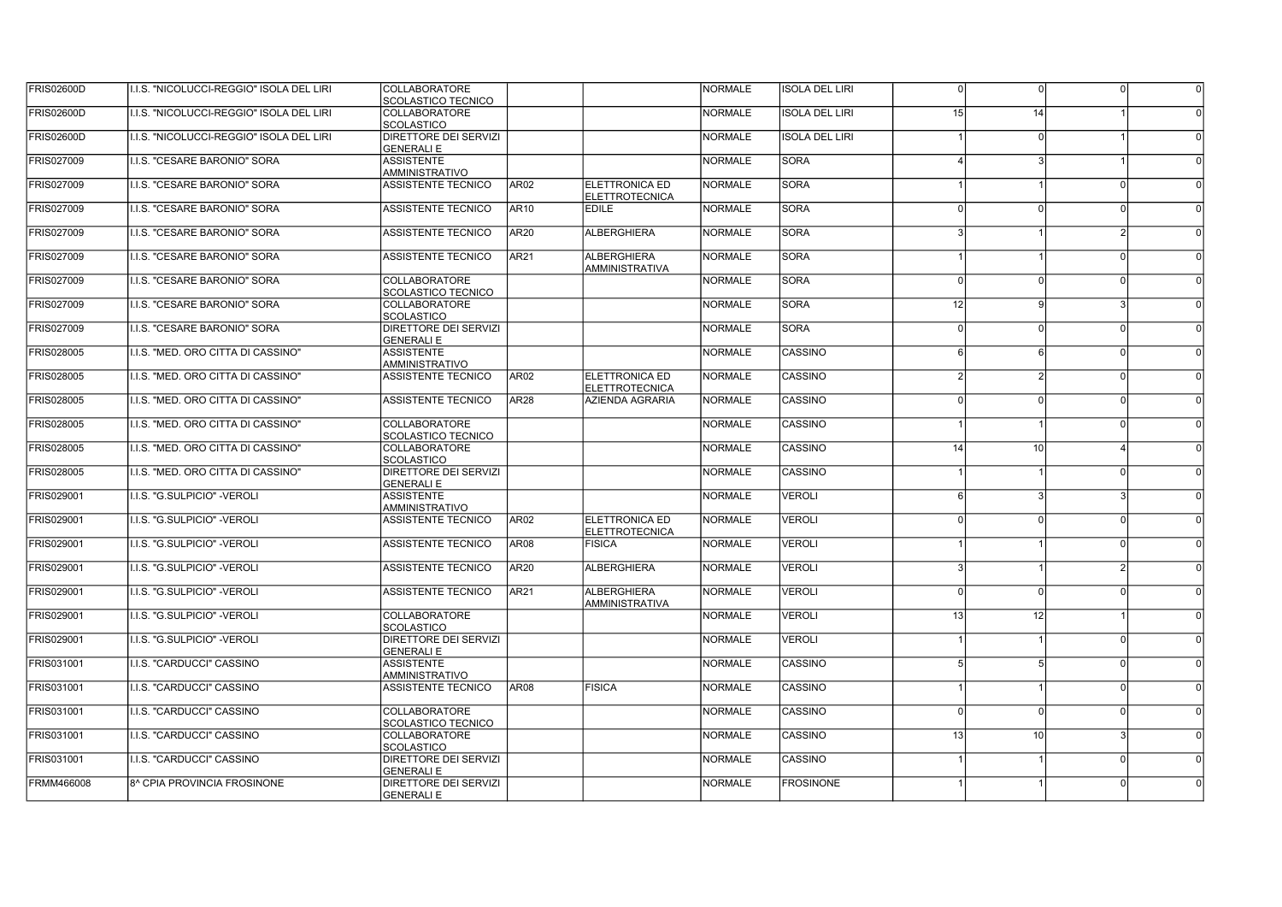| FRIS02600D | II.I.S. "NICOLUCCI-REGGIO" ISOLA DEL LIRI | COLLABORATORE<br>SCOLASTICO TECNICO               |                  |                                                | <b>NORMALE</b> | <b>ISOLA DEL LIRI</b> | $\Omega$        | $\Omega$      | $\Omega$               |  |
|------------|-------------------------------------------|---------------------------------------------------|------------------|------------------------------------------------|----------------|-----------------------|-----------------|---------------|------------------------|--|
| FRIS02600D | I.I.S. "NICOLUCCI-REGGIO" ISOLA DEL LIRI  | <b>COLLABORATORE</b><br><b>SCOLASTICO</b>         |                  |                                                | <b>NORMALE</b> | <b>ISOLA DEL LIRI</b> | 15 <sup>1</sup> | 14            |                        |  |
| FRIS02600D | II.I.S. "NICOLUCCI-REGGIO" ISOLA DEL LIRI | <b>DIRETTORE DEI SERVIZI</b><br><b>GENERALI E</b> |                  |                                                | <b>NORMALE</b> | <b>ISOLA DEL LIRI</b> |                 |               |                        |  |
| FRIS027009 | I.I.S. "CESARE BARONIO" SORA              | <b>ASSISTENTE</b><br><b>AMMINISTRATIVO</b>        |                  |                                                | <b>NORMALE</b> | <b>SORA</b>           |                 |               |                        |  |
| FRIS027009 | I.I.S. "CESARE BARONIO" SORA              | <b>ASSISTENTE TECNICO</b>                         | AR <sub>02</sub> | <b>ELETTRONICA ED</b><br><b>ELETTROTECNICA</b> | <b>NORMALE</b> | <b>SORA</b>           |                 |               | $\Omega$               |  |
| FRIS027009 | I.I.S. "CESARE BARONIO" SORA              | <b>ASSISTENTE TECNICO</b>                         | <b>AR10</b>      | <b>EDILE</b>                                   | <b>NORMALE</b> | <b>SORA</b>           |                 | $\Omega$      | $\Omega$               |  |
| FRIS027009 | II.I.S. "CESARE BARONIO" SORA             | ASSISTENTE TECNICO                                | AR20             | <b>ALBERGHIERA</b>                             | <b>NORMALE</b> | <b>SORA</b>           |                 |               | $\mathcal{D}$          |  |
| FRIS027009 | <b>I.I.S. "CESARE BARONIO" SORA</b>       | <b>ASSISTENTE TECNICO</b>                         | AR21             | <b>ALBERGHIERA</b><br><b>AMMINISTRATIVA</b>    | <b>NORMALE</b> | <b>SORA</b>           |                 |               | nl                     |  |
| FRIS027009 | II.I.S. "CESARE BARONIO" SORA             | <b>COLLABORATORE</b><br>SCOLASTICO TECNICO        |                  |                                                | <b>NORMALE</b> | <b>SORA</b>           | $\Omega$        | $\Omega$      | nl                     |  |
| FRIS027009 | I.I.S. "CESARE BARONIO" SORA              | COLLABORATORE<br><b>SCOLASTICO</b>                |                  |                                                | <b>NORMALE</b> | <b>SORA</b>           | 12 <sup>1</sup> | $\mathbf{Q}$  | $\mathcal{R}$          |  |
| FRIS027009 | I.I.S. "CESARE BARONIO" SORA              | <b>DIRETTORE DEI SERVIZI</b><br><b>GENERALI E</b> |                  |                                                | <b>NORMALE</b> | <b>SORA</b>           | $\Omega$        | $\Omega$      | nl                     |  |
| FRIS028005 | I.I.S. "MED. ORO CITTA DI CASSINO"        | <b>ASSISTENTE</b><br><b>AMMINISTRATIVO</b>        |                  |                                                | <b>NORMALE</b> | CASSINO               | 6 <sup>1</sup>  | 6             | nl                     |  |
| FRIS028005 | II.I.S. "MED. ORO CITTA DI CASSINO"       | <b>ASSISTENTE TECNICO</b>                         | AR <sub>02</sub> | <b>ELETTRONICA ED</b><br><b>ELETTROTECNICA</b> | <b>NORMALE</b> | <b>CASSINO</b>        | $\mathcal{D}$   | $\mathcal{P}$ | nl                     |  |
| FRIS028005 | <b>I.I.S. "MED. ORO CITTA DI CASSINO"</b> | <b>ASSISTENTE TECNICO</b>                         | AR <sub>28</sub> | AZIENDA AGRARIA                                | <b>NORMALE</b> | CASSINO               | $\Omega$        | $\Omega$      | n l                    |  |
| FRIS028005 | I.I.S. "MED. ORO CITTA DI CASSINO"        | <b>COLLABORATORE</b><br><b>SCOLASTICO TECNICO</b> |                  |                                                | <b>NORMALE</b> | CASSINO               |                 |               | $\Omega$               |  |
| FRIS028005 | I.I.S. "MED. ORO CITTA DI CASSINO"        | COLLABORATORE<br><b>SCOLASTICO</b>                |                  |                                                | <b>NORMALE</b> | CASSINO               | 14              | 10            | $\boldsymbol{\Lambda}$ |  |
| FRIS028005 | II.I.S. "MED. ORO CITTA DI CASSINO"       | DIRETTORE DEI SERVIZI<br><b>GENERALI E</b>        |                  |                                                | <b>NORMALE</b> | CASSINO               |                 |               | $\Omega$               |  |
| FRIS029001 | I.I.S. "G.SULPICIO" -VEROLI               | <b>ASSISTENTE</b><br><b>AMMINISTRATIVO</b>        |                  |                                                | <b>NORMALE</b> | <b>VEROLI</b>         | 6 <sup>1</sup>  | 3             |                        |  |
| FRIS029001 | II.I.S. "G.SULPICIO" -VEROLI              | <b>ASSISTENTE TECNICO</b>                         | AR <sub>02</sub> | <b>ELETTRONICA ED</b><br><b>ELETTROTECNICA</b> | <b>NORMALE</b> | <b>VEROLI</b>         | $\Omega$        | $\Omega$      | $\Omega$               |  |
| FRIS029001 | I.I.S. "G.SULPICIO" -VEROLI               | <b>ASSISTENTE TECNICO</b>                         | <b>AR08</b>      | <b>FISICA</b>                                  | <b>NORMALE</b> | <b>VEROLI</b>         |                 |               | 0l                     |  |
| FRIS029001 | II.I.S. "G.SULPICIO" -VEROLI              | <b>ASSISTENTE TECNICO</b>                         | <b>AR20</b>      | <b>ALBERGHIERA</b>                             | <b>NORMALE</b> | <b>VEROLI</b>         |                 |               |                        |  |
| FRIS029001 | I.I.S. "G.SULPICIO" -VEROLI               | ASSISTENTE TECNICO                                | <b>AR21</b>      | <b>ALBERGHIERA</b><br><b>AMMINISTRATIVA</b>    | <b>NORMALE</b> | <b>VEROLI</b>         | $\Omega$        | $\Omega$      | - N                    |  |
| FRIS029001 | I.I.S. "G.SULPICIO" -VEROLI               | <b>COLLABORATORE</b><br><b>SCOLASTICO</b>         |                  |                                                | <b>NORMALE</b> | <b>VEROLI</b>         | 13 <sup>1</sup> | 12            |                        |  |
| FRIS029001 | I.I.S. "G.SULPICIO" -VEROLI               | DIRETTORE DEI SERVIZI<br><b>GENERALI E</b>        |                  |                                                | <b>NORMALE</b> | <b>VEROLI</b>         |                 |               | ΩI                     |  |
| FRIS031001 | I.I.S. "CARDUCCI" CASSINO                 | <b>ASSISTENTE</b><br><b>AMMINISTRATIVO</b>        |                  |                                                | <b>NORMALE</b> | CASSINO               |                 | 5             | $\Omega$               |  |
| FRIS031001 | I.I.S. "CARDUCCI" CASSINO                 | ASSISTENTE TECNICO                                | <b>AR08</b>      | <b>FISICA</b>                                  | <b>NORMALE</b> | CASSINO               |                 |               | $\Omega$               |  |
| FRIS031001 | I.I.S. "CARDUCCI" CASSINO                 | <b>COLLABORATORE</b><br>SCOLASTICO TECNICO        |                  |                                                | <b>NORMALE</b> | CASSINO               |                 | $\Omega$      | $\Omega$               |  |
| FRIS031001 | I.I.S. "CARDUCCI" CASSINO                 | COLLABORATORE<br><b>SCOLASTICO</b>                |                  |                                                | <b>NORMALE</b> | <b>CASSINO</b>        | 13              | 10            | $\mathbf{R}$           |  |
| FRIS031001 | I.I.S. "CARDUCCI" CASSINO                 | DIRETTORE DEI SERVIZI<br><b>GENERALI E</b>        |                  |                                                | <b>NORMALE</b> | <b>CASSINO</b>        |                 |               | $\Omega$               |  |
| FRMM466008 | 8^ CPIA PROVINCIA FROSINONE               | DIRETTORE DEI SERVIZI<br>lgenerali e              |                  |                                                | <b>NORMALE</b> | <b>FROSINONE</b>      |                 |               | ΩI                     |  |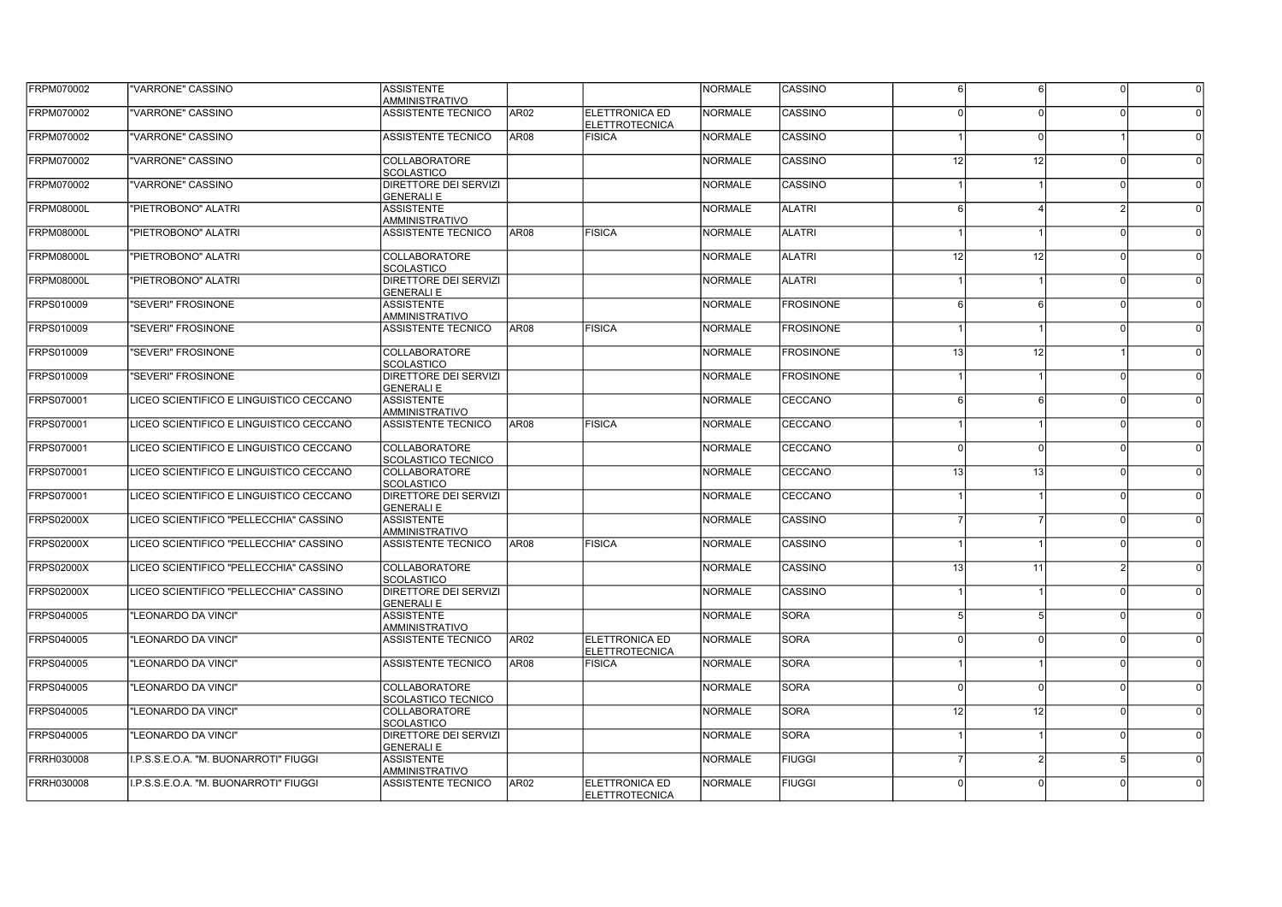| FRPM070002        | "VARRONE" CASSINO                        | <b>ASSISTENTE</b><br>AMMINISTRATIVO               |                  |                                                | <b>NORMALE</b> | CASSINO          | 6               | -6             | $\Omega$      |  |
|-------------------|------------------------------------------|---------------------------------------------------|------------------|------------------------------------------------|----------------|------------------|-----------------|----------------|---------------|--|
| FRPM070002        | "VARRONE" CASSINO                        | <b>ASSISTENTE TECNICO</b>                         | AR02             | <b>ELETTRONICA ED</b><br><b>ELETTROTECNICA</b> | <b>NORMALE</b> | CASSINO          |                 |                |               |  |
| FRPM070002        | "VARRONE" CASSINO                        | ASSISTENTE TECNICO                                | <b>AR08</b>      | <b>FISICA</b>                                  | <b>NORMALE</b> | CASSINO          |                 | $\Omega$       |               |  |
| FRPM070002        | "VARRONE" CASSINO                        | <b>COLLABORATORE</b><br><b>SCOLASTICO</b>         |                  |                                                | <b>NORMALE</b> | CASSINO          | 12              | 12             | $\Omega$      |  |
| FRPM070002        | "VARRONE" CASSINO                        | <b>DIRETTORE DEI SERVIZI</b><br><b>GENERALI E</b> |                  |                                                | <b>NORMALE</b> | CASSINO          |                 |                | $\Omega$      |  |
| <b>FRPM08000L</b> | "PIETROBONO" ALATRI                      | <b>ASSISTENTE</b><br>AMMINISTRATIVO               |                  |                                                | <b>NORMALE</b> | <b>ALATRI</b>    |                 |                |               |  |
| <b>FRPM08000L</b> | "PIETROBONO" ALATRI                      | <b>ASSISTENTE TECNICO</b>                         | AR08             | <b>FISICA</b>                                  | <b>NORMALE</b> | <b>ALATRI</b>    |                 |                | $\Omega$      |  |
| <b>FRPM08000L</b> | "PIETROBONO" ALATRI                      | COLLABORATORE<br><b>SCOLASTICO</b>                |                  |                                                | <b>NORMALE</b> | <b>ALATRI</b>    | 12              | 12             | $\Omega$      |  |
| <b>FRPM08000L</b> | "PIETROBONO" ALATRI                      | DIRETTORE DEI SERVIZI<br><b>GENERALI E</b>        |                  |                                                | <b>NORMALE</b> | <b>ALATRI</b>    |                 |                | $\Omega$      |  |
| FRPS010009        | "SEVERI" FROSINONE                       | <b>ASSISTENTE</b><br>AMMINISTRATIVO               |                  |                                                | <b>NORMALE</b> | <b>FROSINONE</b> | 6               | 6              |               |  |
| FRPS010009        | "SEVERI" FROSINONE                       | <b>ASSISTENTE TECNICO</b>                         | <b>AR08</b>      | <b>FISICA</b>                                  | <b>NORMALE</b> | <b>FROSINONE</b> |                 |                | $\Omega$      |  |
| FRPS010009        | "SEVERI" FROSINONE                       | <b>COLLABORATORE</b><br><b>SCOLASTICO</b>         |                  |                                                | <b>NORMALE</b> | <b>FROSINONE</b> | 13 <sup>1</sup> | 12             |               |  |
| FRPS010009        | "SEVERI" FROSINONE                       | <b>DIRETTORE DEI SERVIZI</b><br><b>GENERALI E</b> |                  |                                                | <b>NORMALE</b> | <b>FROSINONE</b> |                 |                | nl            |  |
| FRPS070001        | LICEO SCIENTIFICO E LINGUISTICO CECCANO  | <b>ASSISTENTE</b><br><b>AMMINISTRATIVO</b>        |                  |                                                | <b>NORMALE</b> | CECCANO          | ĥ               | 6              | nl            |  |
| FRPS070001        | LICEO SCIENTIFICO E LINGUISTICO CECCANO  | ASSISTENTE TECNICO                                | AR <sub>08</sub> | <b>FISICA</b>                                  | <b>NORMALE</b> | <b>CECCANO</b>   |                 |                | nl            |  |
| FRPS070001        | LICEO SCIENTIFICO E LINGUISTICO CECCANO  | COLLABORATORE<br>SCOLASTICO TECNICO               |                  |                                                | <b>NORMALE</b> | CECCANO          | $\Omega$        | $\Omega$       | nl            |  |
| FRPS070001        | ÍLICEO SCIENTIFICO E LINGUISTICO CECCANO | <b>COLLABORATORE</b><br><b>SCOLASTICO</b>         |                  |                                                | <b>NORMALE</b> | CECCANO          | 13 <sup>1</sup> | 13             | n             |  |
| FRPS070001        | LICEO SCIENTIFICO E LINGUISTICO CECCANO  | <b>DIRETTORE DEI SERVIZI</b><br><b>GENERALI E</b> |                  |                                                | <b>NORMALE</b> | CECCANO          |                 |                | nl            |  |
| <b>FRPS02000X</b> | LICEO SCIENTIFICO "PELLECCHIA" CASSINO   | <b>ASSISTENTE</b><br><b>AMMINISTRATIVO</b>        |                  |                                                | <b>NORMALE</b> | CASSINO          |                 | $\overline{7}$ | $\Omega$      |  |
| <b>FRPS02000X</b> | LICEO SCIENTIFICO "PELLECCHIA" CASSINO   | <b>ASSISTENTE TECNICO</b>                         | AR08             | <b>FISICA</b>                                  | <b>NORMALE</b> | CASSINO          |                 |                | $\Omega$      |  |
| <b>FRPS02000X</b> | LICEO SCIENTIFICO "PELLECCHIA" CASSINO   | COLLABORATORE<br><b>SCOLASTICO</b>                |                  |                                                | <b>NORMALE</b> | CASSINO          | 13 <sup>1</sup> | 11             | $\mathcal{D}$ |  |
| <b>FRPS02000X</b> | LICEO SCIENTIFICO "PELLECCHIA" CASSINO   | <b>DIRETTORE DEI SERVIZI</b><br><b>GENERALI E</b> |                  |                                                | <b>NORMALE</b> | CASSINO          |                 |                | - N           |  |
| FRPS040005        | "LEONARDO DA VINCI"                      | <b>ASSISTENTE</b><br><b>AMMINISTRATIVO</b>        |                  |                                                | <b>NORMALE</b> | <b>SORA</b>      |                 | 5              | - N           |  |
| FRPS040005        | "LEONARDO DA VINCI"                      | <b>ASSISTENTE TECNICO</b>                         | AR02             | ELETTRONICA ED<br><b>ELETTROTECNICA</b>        | <b>NORMALE</b> | <b>SORA</b>      | $\Omega$        | $\Omega$       | - N           |  |
| FRPS040005        | "LEONARDO DA VINCI"                      | ASSISTENTE TECNICO                                | AR08             | <b>FISICA</b>                                  | <b>NORMALE</b> | <b>SORA</b>      |                 |                | $\Omega$      |  |
| FRPS040005        | "LEONARDO DA VINCI"                      | <b>COLLABORATORE</b><br><b>SCOLASTICO TECNICO</b> |                  |                                                | <b>NORMALE</b> | <b>SORA</b>      | $\Omega$        | $\Omega$       | 0l            |  |
| FRPS040005        | "LEONARDO DA VINCI"                      | COLLABORATORE<br><b>SCOLASTICO</b>                |                  |                                                | <b>NORMALE</b> | <b>SORA</b>      | 12              | 12             | $\Omega$      |  |
| FRPS040005        | "LEONARDO DA VINCI"                      | DIRETTORE DEI SERVIZI<br><b>GENERALI E</b>        |                  |                                                | <b>NORMALE</b> | <b>SORA</b>      |                 |                | 0l            |  |
| FRRH030008        | I.P.S.S.E.O.A. "M. BUONARROTI" FIUGGI    | <b>ASSISTENTE</b><br>AMMINISTRATIVO               |                  |                                                | <b>NORMALE</b> | <b>FIUGGI</b>    |                 |                | 5             |  |
| FRRH030008        | I.P.S.S.E.O.A. "M. BUONARROTI" FIUGGI    | <b>ASSISTENTE TECNICO</b>                         | AR <sub>02</sub> | <b>ELETTRONICA ED</b><br><b>ELETTROTECNICA</b> | <b>NORMALE</b> | <b>FIUGGI</b>    |                 | $\cap$         | $\Omega$      |  |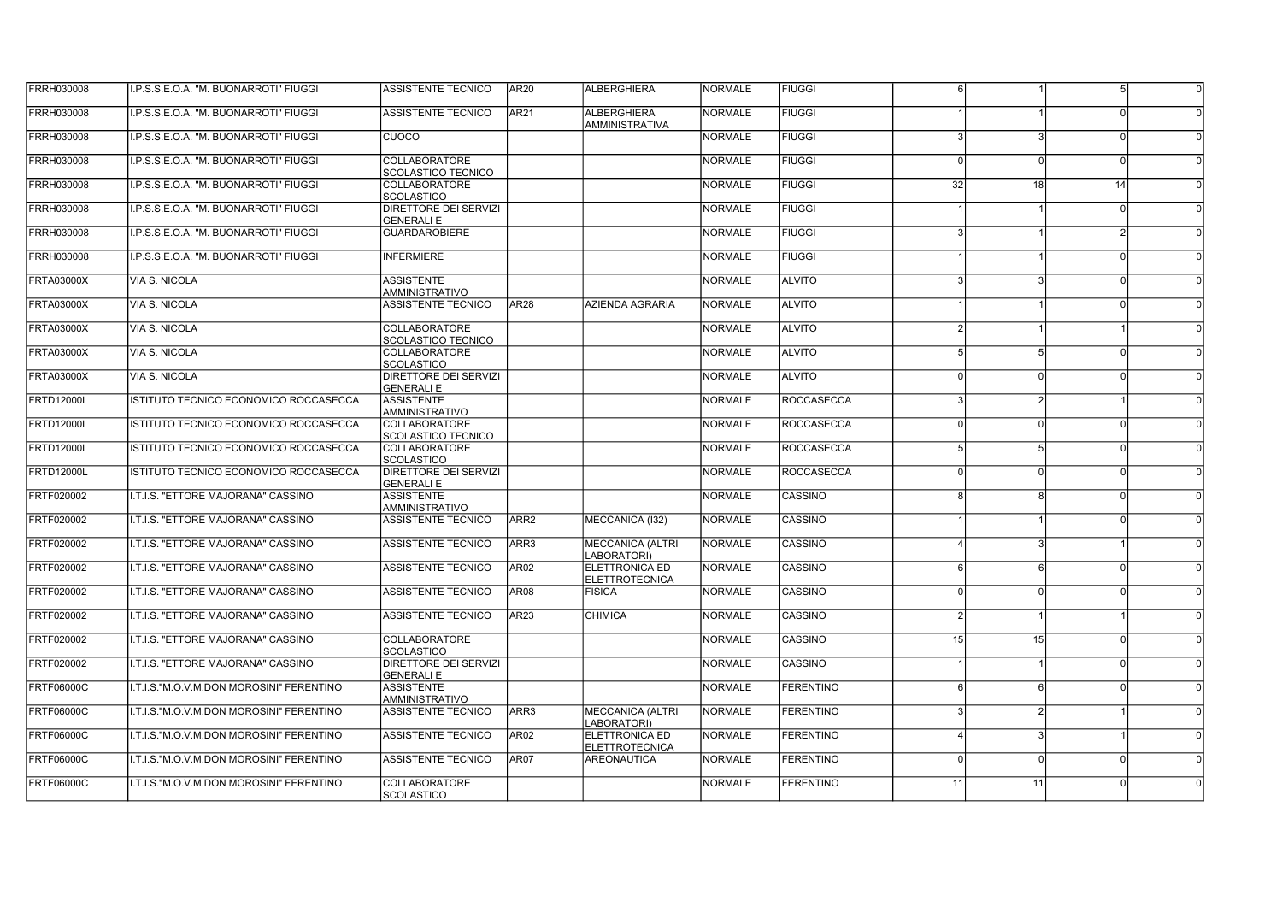| FRRH030008        | I.P.S.S.E.O.A. "M. BUONARROTI" FIUGGI        | ASSISTENTE TECNICO                                | <b>AR20</b>      | <b>ALBERGHIERA</b>                     | <b>NORMALE</b> | <b>FIUGGI</b>    | 6               |               | 5 <sup>1</sup> |  |
|-------------------|----------------------------------------------|---------------------------------------------------|------------------|----------------------------------------|----------------|------------------|-----------------|---------------|----------------|--|
| FRRH030008        | I.P.S.S.E.O.A. "M. BUONARROTI" FIUGGI        | <b>ASSISTENTE TECNICO</b>                         | AR <sub>21</sub> | ALBERGHIERA<br><b>AMMINISTRATIVA</b>   | <b>NORMALE</b> | <b>FIUGGI</b>    |                 |               |                |  |
| FRRH030008        | I.P.S.S.E.O.A. "M. BUONARROTI" FIUGGI        | cuoco                                             |                  |                                        | <b>NORMALE</b> | <b>FIUGGI</b>    |                 |               | $\Omega$       |  |
| FRRH030008        | .P.S.S.E.O.A. "M. BUONARROTI" FIUGGI         | <b>COLLABORATORE</b><br>SCOLASTICO TECNICO        |                  |                                        | <b>NORMALE</b> | <b>FIUGGI</b>    |                 |               | $\Omega$       |  |
| FRRH030008        | I.P.S.S.E.O.A. "M. BUONARROTI" FIUGGI        | <b>COLLABORATORE</b><br><b>SCOLASTICO</b>         |                  |                                        | <b>NORMALE</b> | <b>FIUGGI</b>    | 32              | 18            | 14             |  |
| FRRH030008        | I.P.S.S.E.O.A. "M. BUONARROTI" FIUGGI        | <b>DIRETTORE DEI SERVIZI</b><br><b>GENERALI E</b> |                  |                                        | <b>NORMALE</b> | <b>FIUGGI</b>    |                 |               | $\Omega$       |  |
| FRRH030008        | I.P.S.S.E.O.A. "M. BUONARROTI" FIUGGI        | <b>GUARDAROBIERE</b>                              |                  |                                        | <b>NORMALE</b> | <b>FIUGGI</b>    |                 |               | $\mathcal{D}$  |  |
| FRRH030008        | I.P.S.S.E.O.A. "M. BUONARROTI" FIUGGI        | <b>INFERMIERE</b>                                 |                  |                                        | <b>NORMALE</b> | <b>FIUGGI</b>    |                 |               | $\Omega$       |  |
| <b>FRTA03000X</b> | <b>VIA S. NICOLA</b>                         | <b>ASSISTENTE</b><br>AMMINISTRATIVO               |                  |                                        | <b>NORMALE</b> | <b>ALVITO</b>    |                 | 3             | $\Omega$       |  |
| <b>FRTA03000X</b> | <b>VIA S. NICOLA</b>                         | <b>ASSISTENTE TECNICO</b>                         | <b>AR28</b>      | AZIENDA AGRARIA                        | <b>NORMALE</b> | <b>ALVITO</b>    |                 |               | $\Omega$       |  |
| <b>FRTA03000X</b> | <b>VIA S. NICOLA</b>                         | <b>COLLABORATORE</b><br><b>SCOLASTICO TECNICO</b> |                  |                                        | <b>NORMALE</b> | <b>ALVITO</b>    |                 |               |                |  |
| FRTA03000X        | <b>VIA S. NICOLA</b>                         | <b>COLLABORATORE</b><br><b>SCOLASTICO</b>         |                  |                                        | <b>NORMALE</b> | <b>ALVITO</b>    | 51              | 5             | n l            |  |
| FRTA03000X        | VIA S. NICOLA                                | <b>IDIRETTORE DEI SERVIZI</b><br><b>GENERALIE</b> |                  |                                        | <b>NORMALE</b> | <b>ALVITO</b>    | $\Omega$        | $\Omega$      | $\Omega$       |  |
| <b>FRTD12000L</b> | ISTITUTO TECNICO ECONOMICO ROCCASECCA        | <b>ASSISTENTE</b><br><b>AMMINISTRATIVO</b>        |                  |                                        | <b>NORMALE</b> | ROCCASECCA       |                 | 2             |                |  |
| FRTD12000L        | <b>ISTITUTO TECNICO ECONOMICO ROCCASECCA</b> | <b>COLLABORATORE</b><br>Iscolastico tecnico       |                  |                                        | <b>NORMALE</b> | ROCCASECCA       | $\Omega$        | $\Omega$      | $\Omega$       |  |
| <b>FRTD12000L</b> | ISTITUTO TECNICO ECONOMICO ROCCASECCA        | <b>COLLABORATORE</b><br>Iscolastico               |                  |                                        | <b>NORMALE</b> | ROCCASECCA       | 5 <sup>1</sup>  | 5             | n              |  |
| <b>FRTD12000L</b> | ISTITUTO TECNICO ECONOMICO ROCCASECCA        | <b>DIRETTORE DEI SERVIZI</b><br>İGENERALI E       |                  |                                        | <b>NORMALE</b> | ROCCASECCA       | $\Omega$        | $\Omega$      | $\Omega$       |  |
| FRTF020002        | I.T.I.S. "ETTORE MAJORANA" CASSINO           | <b>ASSISTENTE</b><br><b>AMMINISTRATIVO</b>        |                  |                                        | <b>NORMALE</b> | <b>CASSINO</b>   | 8               | -8            | $\Omega$       |  |
| FRTF020002        | <b>I.T.I.S. "ETTORE MAJORANA" CASSINO</b>    | <b>ASSISTENTE TECNICO</b>                         | ARR <sub>2</sub> | MECCANICA (132)                        | <b>NORMALE</b> | CASSINO          |                 |               | $\Omega$       |  |
| FRTF020002        | I.T.I.S. "ETTORE MAJORANA" CASSINO           | ASSISTENTE TECNICO                                | ARR3             | <b>MECCANICA (ALTRI</b><br>LABORATORI) | <b>NORMALE</b> | CASSINO          |                 | 3             |                |  |
| FRTF020002        | I.T.I.S. "ETTORE MAJORANA" CASSINO           | ASSISTENTE TECNICO                                | <b>AR02</b>      | ELETTRONICA ED<br>ELETTROTECNICA       | <b>NORMALE</b> | CASSINO          |                 | 6             | $\Omega$       |  |
| FRTF020002        | <b>I.T.I.S. "ETTORE MAJORANA" CASSINO</b>    | <b>ASSISTENTE TECNICO</b>                         | <b>AR08</b>      | <b>FISICA</b>                          | <b>NORMALE</b> | CASSINO          | $\Omega$        | $\Omega$      | $\Omega$       |  |
| FRTF020002        | <b>I.T.I.S. "ETTORE MAJORANA" CASSINO</b>    | <b>ASSISTENTE TECNICO</b>                         | AR <sub>23</sub> | <b>CHIMICA</b>                         | <b>NORMALE</b> | <b>CASSINO</b>   | $\mathcal{P}$   |               |                |  |
| FRTF020002        | <b>.T.I.S. "ETTORE MAJORANA" CASSINO</b>     | <b>COLLABORATORE</b><br><b>SCOLASTICO</b>         |                  |                                        | <b>NORMALE</b> | CASSINO          | 15 <sup>1</sup> | 15            | $\Omega$       |  |
| FRTF020002        | I.T.I.S. "ETTORE MAJORANA" CASSINO           | <b>DIRETTORE DEI SERVIZI</b><br><b>GENERALI E</b> |                  |                                        | <b>NORMALE</b> | CASSINO          |                 |               | $\Omega$       |  |
| <b>FRTF06000C</b> | I.T.I.S."M.O.V.M.DON MOROSINI" FERENTINO     | <b>ASSISTENTE</b><br><b>AMMINISTRATIVO</b>        |                  |                                        | <b>NORMALE</b> | <b>FERENTINO</b> | 6 <sup>1</sup>  | $6 \mid$      | $\Omega$       |  |
| <b>FRTF06000C</b> | I.T.I.S."M.O.V.M.DON MOROSINI" FERENTINO     | ASSISTENTE TECNICO                                | ARR3             | <b>MECCANICA (ALTRI</b><br>LABORATORI) | <b>NORMALE</b> | <b>FERENTINO</b> |                 | $\mathcal{P}$ |                |  |
| FRTF06000C        | I.T.I.S."M.O.V.M.DON MOROSINI" FERENTINO     | ASSISTENTE TECNICO                                | AR <sub>02</sub> | ELETTRONICA ED<br>ELETTROTECNICA       | <b>NORMALE</b> | <b>FERENTINO</b> |                 | 3             |                |  |
| <b>FRTF06000C</b> | I.T.I.S."M.O.V.M.DON MOROSINI" FERENTINO     | <b>ASSISTENTE TECNICO</b>                         | AR07             | <b>AREONAUTICA</b>                     | <b>NORMALE</b> | <b>FERENTINO</b> | $\Omega$        | $\Omega$      | $\Omega$       |  |
| <b>FRTF06000C</b> | I.T.I.S."M.O.V.M.DON MOROSINI" FERENTINO     | <b>COLLABORATORE</b><br>Iscolastico               |                  |                                        | <b>NORMALE</b> | <b>FERENTINO</b> | 11              | 11            |                |  |